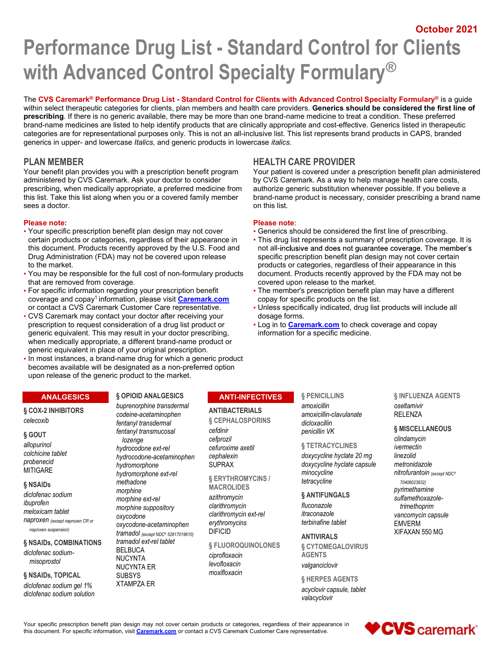October 2021

# October 2021<br>With Advanced Control Specialty Formulary®<br>The CVS Caremark® Performance Drug List - Standard Control for Clients with Advanced Control Specialty Formulary®<br>The CVS Caremark® Performance Drug List - Standard C with Advanced Control Specialty Formulary®

The CVS Caremark<sup>®</sup> Performance Drug List - Standard Control for Clients with Advanced Control Specialty Formulary<sup>®</sup> is a guide within select therapeutic categories for clients, plan members and health care providers. Generics should be considered the first line of prescribing. If there is no generic available, there may be more than one brand-name medicine to treat a condition. These preferred brand-name medicines are listed to help identify products that are clinically appropriate and cost-effective. Generics listed in therapeutic categories are for representational purposes only. This is not an all-inclusive list. This list represents brand products in CAPS, branded generics in upper- and lowercase *Italics*, and generic products in Verencis in upp **Performance Drug List - Standard Control for Clients**<br>
With Advanced Control Specialty Formulary®<br>
The CVS Careman<sup>t®</sup> Performance Drug List - Standard Control for Clients with Advanced Control Specialty Formulary®<br>
Stand Free CVS Caremark Customers Drug List - Standard Control Storehome Drug List - Standard Customer Care representative is a quiese to the control Standard Customers and health care representative in the control Standard Cust

Your benefit plan provides you with a prescription benefit program administered by CVS Caremark. Ask your doctor to consider prescribing, when medically appropriate, a preferred medicine from this list. Take this list along when you or a covered family member sees a doctor.

# Please note: Please note:

- Your specific prescription benefit plan design may not cover Generics should be considered the first line of prescribing. to the market. products or categories, regardless of their appearance in this
- You may be responsible for the full cost of non-formulary products document. Products recently approved by the FDA may not be that are removed from coverage. covered upon release to the market.
- coverage and copay<sup>1</sup> information, please visit **Caremark.com** copay for specific products on the list.
- CVS Caremark may contact your doctor after receiving your dosage forms. prescription to request consideration of a drug list product or **Log in to Caremark.com** to check coverage and copay generic equivalent. This may result in your doctor prescribing, information for a specific medicine. when medically appropriate, a different brand-name product or generic equivalent in place of your original prescription.
- . In most instances, a brand-name drug for which a generic product becomes available will be designated as a non-preferred option upon release of the generic product to the market.

# ANALGESICS

§ COX-2 INHIBITORS

# § GOUT

allopurinol colchicine tablet probenecid

## § NSAIDs

diclofenac sodium meloxicam tablet morphime s<br>oxycodone naproxen (except naproxen CR or naproxen suspension)

# § NSAIDs, COMBINATIONS

diclofenac sodiummisoprostol

# § NSAIDs, TOPICAL

diclofenac sodium gel 1% diclofenac sodium solution

# § OPIOID ANALGESICS buprenorphine transdermal

celecoxib fentanyl transdermal MITIGARE
hydromorphone ext-rel ibuprofen<br>morphine suppository and clarithromycin<br>morphine suppository clarithromycin codeine-acetaminophen fentanyl transmucosal lozenge hydrocodone ext-rel exterprese cefuroxime<br>hydrocodone-acetaminophen cephalexin hydrocodone-acetaminophen cephalexii<br>hydromorphone SUPRAX hydromorphone methadone morphine morphine ext-rel oxycodone clarithromycin ext-rel oxycodone-acetaminophen tramadol (except NDC^ 52817019610) tramadol ext-rel tablet BELBUCA NUCYNTA CONTRACTER CONTRACTER SERVED ON A SERVED ON A SERVED ON A SERVED ON A SERVED ON A SERVED ON A SERVED O<br>REVENITANT A SERVED ON A SERVED ON A SERVED ON A SERVED ON A SERVED ON A SERVED ON A SERVED ON A SERVED ON A S NUCYNTA ER **SUBSYS** XTAMPZA ER

Your patient is covered under a prescription benefit plan administered by CVS Caremark. As a way to help manage health care costs, authorize generic substitution whenever possible. If you believe a brand-name product is necessary, consider prescribing a brand name on this list.

- 
- certain products or categories, regardless of their appearance in **·** This drug list represents a summary of prescription coverage. It is this document. Products recently approved by the U.S. Food and not all-inclusive and does not guarantee coverage. The member's Drug Administration (FDA) may not be covered upon release specific prescription benefit plan de specific prescription benefit plan design may not cover certain
- For specific information regarding your prescription benefit The member's prescription benefit plan may have a different
	-
	-

# ANTI-INFECTIVES

# ANTIBACTERIALS amoxicillin

§ CEPHALOSPORINS cefdinir cefprozil cefuroxime axetil

§ ERYTHROMYCINS / MACROLIDES

azithromycin **SANTIFUN**<br>clarithromycin fluconazole clarithromycin<br>clarithromycin ext-rel itraconazole<br>itraconazole erythromycins terbinafine tablet DIFICID

§ FLUOROQUINOLONES

ciprofloxacin moxifloxacin § PENICILLINS

amoxicillin-clavulanate dicloxacillin penicillin VK § MISCELLANEOUS

# § TETRACYCLINES

cephalexin doxycycline hyclate 20 mg SUPRAX doxycycline hyclate capsule and metronidazole minocycline and the mitrofurantoin (except NDC^ tetracycline

§ ANTIFUNGALS

levofloxacin valganciclovir ANTIVIRALS § CYTOMEGALOVIRUS AGENTS

> § HERPES AGENTS acyclovir capsule, tablet valacyclovir

amoxicillin oseltamivir § INFLUENZA AGENTS RELENZA

fluconazole trimethoprim itraconazole vancomycin capsule clindamycin ivermectin linezolid metronidazole 70408023932) pyrimethamine sulfamethoxazole-EMVERM XIFAXAN 550 MG

Your specific prescription benefit plan design may not cover certain products or categories, regardless of their appearance in **the controller of the section of the controller in the controller of the controller controller** this document. For specific information, visit *Caremark.com* or contact a CVS Caremark Customer Care representative.

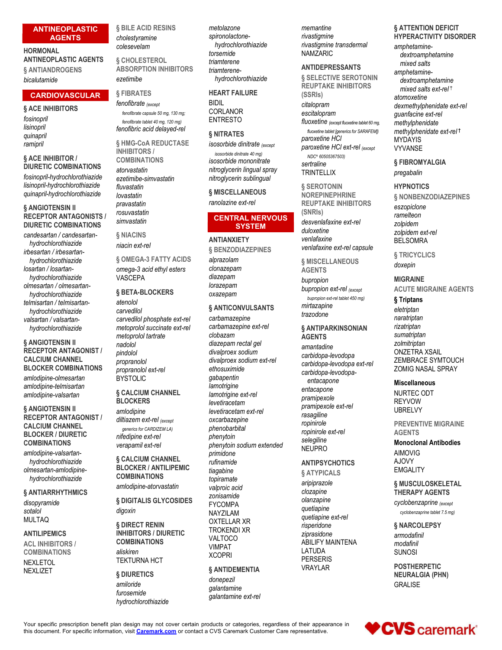# ANTINEOPLASTIC

# HORMONAL colesevelam ANTINEOPLASTIC AGENTS § ANTIANDROGENS

bicalutamide

# **CARDIOVASCULAR** § FIBRATES FIRE REAR<br>*fenofibrate except* BIDIL

# § ACE INHIBITORS

fosinopril lisinopril quinapril ramipril

# § ACE INHIBITOR / DIURETIC COMBINATIONS atorvastatin

fosinopril-hydrochlorothiazide lisinopril-hydrochlorothiazide quinapril-hydrochlorothiazide

# § ANGIOTENSIN II RECEPTOR ANTAGONISTS / DIURETIC COMBINATIONS

candesartan / candesartanhydrochlorothiazide irbesartan / irbesartanlosartan / losartanhydrochlorothiazide olmesartan / olmesartanhydrochlorothiazide telmisartan / telmisartanhydrochlorothiazide valsartan / valsartan-

# § ANGIOTENSIN II RECEPTOR ANTAGONIST / CALCIUM CHANNEL BLOCKER COMBINATIONS

amlodipine-olmesartan amlodipine-telmisartan amlodipine-valsartan

# § ANGIOTENSIN II RECEPTOR ANTAGONIST / CALCIUM CHANNEL BLOCKER / DIURETIC **COMBINATIONS**

amlodipine-valsartanhydrochlorothiazide olmesartan-amlodipinehydrochlorothiazide

# § ANTIARRHYTHMICS

sotalol MULTAQ

# ANTILIPEMICS

ACL INHIBITORS / COMBINATIONS NEXLIZET

§ BILE ACID RESINS *metolazone* 

§ CHOLESTEROL ABSORPTION INHIBITORS

# § FIBRATES

fenofibrate (except BIDIL<br>fenofibrate cansule 50 mg 130 mg CORLANOR fenofibrate capsule 50 mg, 130 mg; fenofibrate tablet 40 mg, 120 mg) fenofibric acid delayed-rel

§ HMG-CoA REDUCTASE INHIBITORS / COMBINATIONS

fluvastatin lovastatin § MISCELLANEOUS pravastatin ranolazine ext-rel rosuvastatin simvastatin

§ NIACINS niacin ext-rel

hydrochlorothiazide § OMEGA-3 FATTY ACIDS omega-3 acid ethyl esters VASCEPA *diazepam*<br>lorazepam

hydrochlorothiazide metoprolol succinate ext-rel § BETA-BLOCKERS oxazepam atenolol carvedilol carvedilol phosphate ext-rel metoprolol tartrate nadolol pindolol propranolol propranolol ext-rel **BYSTOLIC** 

# § CALCIUM CHANNEL **BLOCKERS**

diltiazem ext-rel (except generics for CARDIZEM LA) nifedipine ext-rel verapamil ext-rel

§ CALCIUM CHANNEL *primatic* **BLOCKER / ANTILIPEMIC** *tiagabine* COMBINATIONS amlodipine-atorvastatin

disopyramide § DIGITALIS GLYCOSIDES digoxin NAYZILAM

# § DIRECT RENIN INHIBITORS / DIURETIC<br>COMBINATIONS VALTOCO COMBINATIONS

# § DIURETICS

amiloride hydrochlorothiazide

**AGENTS** cholestyramine **changing of the spironolactone**hydrochlorothiazide<br>torsemide hydrochlorothiazide spironolactonetriamterene triamterene-

# HEART FAILURE

# § NITRATES

ezetimibe-simvastatin mitroglycerin sublingual isosorbide dinitrate (except isosorbide dinitrate 40 mg) isosorbide mononitrate sertraline

# CENTRAL NERVOUS **SYSTEM** duloxeting

# ANTIANXIETY venlafaxine

§ BENZODIAZEPINES alprazolam 
§ MISCELLANEOUS
<sub>dovonin</sub> clonazepam diazepam

# § ANTICONVULSANTS

NEXLETOL **TEKTURNA HCT** ACCERTIVE amlodipine **in the contract of the contract of the contract of the contract of the contract of the contract of** aliskiren XCOPRI carbamazepine carbamazepine ext-rel clobazam diazepam rectal gel divalproex sodium divalproex sodium ext-rel ethosuximide carbidopa-levodopagabapentin entacapone **lamotrigine** lamotrigine ext-rel levetiracetam oxcarbazepine rasaginine phenobarbital phenytoin<br>selegiline phenytoin sodium extended primidone rufinamide **ANTIPSYCHOTICS** AJOVY tiagabine § ATYPICALS topiramate aripiprazole valproic acid<br>clozapine zonisamide<br>Execute: executive danzapine FYCOMPA bialzapine<br>quetiapine NAYZILAM quetiapine ext-rel OXTELLAR XR TROKENDI XR<br>
xiprasidone xiprasidone VALTOCO ABILIFY MAINTENA VIMPAT ABILITY § ANTIDEMENTIA VRAYLAR

furosemide galantamine ext-rel donepezil galantamine

memantine hydrochlorothiazide *rivastigmine transdermal* amphet NAMZARIC

# ANTIDEPRESSANTS

atorvastatin atorialism nitroglycerin lingual spray and the relationship of the method of the number hydrochlorothiazide 
SSELECTIVE SEROTONIN

SSELECTIVE SEROTONIN

S citalopram escitalopram ENTRESTO fluoxetine (except fluoxetine tablet 60 mg, methylphenidate REUPTAKE INHIBITORS (SSRIs) citalopram dexmethylphenidate ext-rel escitalopram guanfacine ext-rel fluoxetine tablet [generics for SARAFEM]) paroxetine HCl paroxetine HCl ext-rel (except NDC^ 60505367503) sertraline 
S FIBROMYALGIA **TRINTELLIX** 

> § SEROTONIN NOREPINEPHRINE REUPTAKE INHIBITORS (SNRIs) desvenlafaxine ext-rel venlafaxine ext-rel capsule

**AGENTS** 

lorazepam<br>
bupropion ext-rel <sub>(except</sub> and **ACUTE MI**  $OX$ azepam<br>
bupropion ext-rel tablet 450 mg)  $\delta$  Trintans bupropion mirtazapine trazodone

# § ANTIPARKINSONIAN

AGENTS amantadine carbidopa-levodopa carbidopa-levodopa ext-rel entacapone **Miscellaneous** entacapone pramipexole pramipexole ext-rel rasagiline ropinirole ext-rel selegiline<br>
Monoclonal Antibodies NEUPRO

olanzapine cyclobenzaprine (except risperidone § NARCOLEPSY ziprasidone armodafinil LATUDA SUNOSI PERSERIS VRAYLAR POSTHERPETIC

# memantine § ATTENTION DEFICIT rivastigmine HYPERACTIVITY DISORDER

NAMZARIC dextroamphetamine amphetaminemixed salts amphetaminedextroamphetamine mixed salts ext-rel<sup>+</sup> atomoxetine methylphenidate methylphenidate ext-rel MYDAYIS VYVANSE

pregabalin

# **HYPNOTICS**

duloxetine zolpidem ext-rel venlafaxine BELSOMRA § NONBENZODIAZEPINES eszopiclone ramelteon zolpidem

> § TRICYCLICS doxepin

# MIGRAINE

ACUTE MIGRAINE AGENTS

# § Triptans

eletriptan naratriptan rizatriptan sumatriptan zolmitriptan ONZETRA XSAIL ZEMBRACE SYMTOUCH ZOMIG NASAL SPRAY

NURTEC ODT REYVOW UBRELVY

ropinirole PREVENTIVE MIGRAINE **AGENTS** 

# AIMOVIG AJOVY **EMGALITY**

# aripiprazole § MUSCULOSKELETAL clozapine THERAPY AGENTS

quetiapine<br>
cyclobenzaprine tablet 7.5 mg)

modafinil

NEURALGIA (PHN) GRALISE

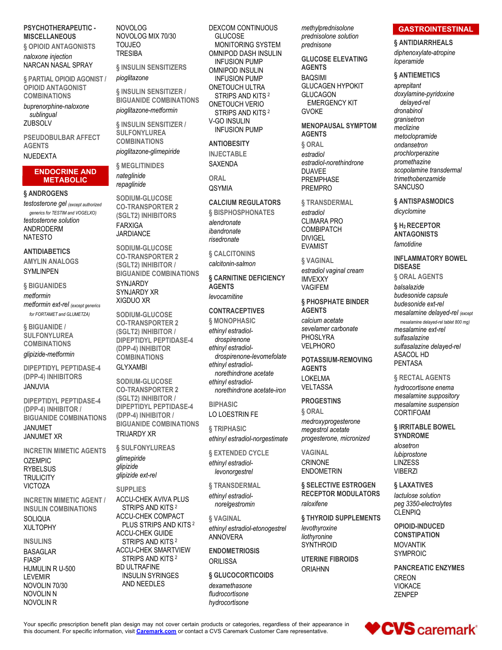# PSYCHOTHERAPEUTIC - NOVOLOG

§ OPIOID ANTAGONISTS TOUJEO naloxone injection NARCAN NASAL SPRAY

§ PARTIAL OPIOID AGONIST / pioglitazone OPIOID ANTAGONIST **COMBINATIONS** 

buprenorphine-naloxone sublingual

PSEUDOBULBAR AFFECT AGENTS

# NUEDEXTA

# ENDOCRINE AND METABOLIC

# § ANDROGENS

testosterone gel (except authorized generics for TESTIM and VOGELXO) testosterone solution ANDRODERM **NATESTO** 

## ANTIDIABETICS

AMYLIN ANALOGS

§ BIGUANIDES metformin metformin ext-rel (except generics for FORTAMET and GLUMETZA)

§ BIGUANIDE / **SULFONYLUREA** COMBINATIONS

glipizide-metformin

DIPEPTIDYL PEPTIDASE-4 (DPP-4) INHIBITORS

DIPEPTIDYL PEPTIDASE-4 (DPP-4) INHIBITOR / BIGUANIDE COMBINATIONS

JANUMET JANUMET XR

INCRETIN MIMETIC AGENTS OZEMPIC RYBELSUS **TRULICITY** VICTOZA

INCRETIN MIMETIC AGENT / INSULIN COMBINATIONS SOLIQUA ACCU-CHEK COMPACT

# HUMULIN R U-500 NOVOLIN 70/30 NOVOLIN N NOVOLIN R

§ INSULIN SENSITIZERS

§ INSULIN SENSITIZER / BIGUANIDE COMBINATIONS pioglitazone-metformin

ZUBSOLV § INSULIN SENSITIZER / **SULFONYLUREA** COMBINATIONS pioglitazone-glimepiride

> § MEGLITINIDES SAXENDA nateglinide repaglinide CSYMIA

SODIUM-GLUCOSE CO-TRANSPORTER 2 (SGLT2) INHIBITORS S BISPHOS FARXIGA **JARDIANCE** 

SYMLINPEN BIGUANIDE COMBINATIONS SODIUM-GLUCOSE CO-TRANSPORTER 2 (SGLT2) INHIBITOR / SYNJARDY SYNJARDY XR XIGDUO XR

> SODIUM-GLUCOSE CO-TRANSPORTER 2 (SGLT2) INHIBITOR / DIPEPTIDYL PEPTIDASE-4 (DPP-4) INHIBITOR COMBINATIONS

## GLYXAMBI

JANUVIA CO-TRANSPORTER 2 SODIUM-GLUCOSE (SGLT2) INHIBITOR / DIPEPTIDYL PEPTIDASE-4 (DPP-4) INHIBITOR / BIGUANIDE COMBINATIONS TRIJARDY XR

> § SULFONYLUREAS glimepiride glipizide glipizide ext-rel

## **SUPPLIES**

VERSION OF PLUS STRIPS AND KITS<sup>2</sup> ethinyl estradiol-etonogestrel levothyroxin  $\blacksquare$ INSULINS
STRIPS AND KITS 2  $\blacksquare$ BASAGLAR ACCU-CHEK SMARTVIEW FIASP STRIPS AND KITS <sup>2</sup> ACCU-CHEK AVIVA PLUS SUU UTERANTI EUU norelgestromin aloxifene ACCU-CHEK GUIDE STRIPS AND KITS<sup>2</sup> ORILISSA<br>BD ULTRAFINE

LEVEMIR INSULIN SYRINGES AND NEEDLES dexamethasone

MISCELLANEOUS NOVOLOG MIX 70/30 NOVOLOG DEXCOM CONTINUOUS methylprednis TOUJEO MONITORING SYSTEM TRESIBA OMNIPOD DASH INSULIN pioglitazone INFUSION PUMP GLUCOSE INFUSION PUMP OMNIPOD INSULIN ONETOUCH ULTRA STRIPS AND KITS <sup>2</sup> ONETOUCH VERIO STRIPS AND KITS <sup>2</sup> V-GO INSULIN INFUSION PUMP

**ANTIOBESITY** 

INJECTABLE

**ORAL** 

# CALCIUM REGULATORS

§ BISPHOSPHONATES alendronate CLIMARA PRO 6 H- RECEPTOR ibandronate risedronate

§ CALCITONINS

calcitonin-salmon

§ CARNITINE DEFICIENCY MVEXXY AGENTS

# **CONTRACEPTIVES**

§ MONOPHASIC ethinyl estradioldrospirenone PHOSLYRA<br>hinyl ostradiolaeth VELPHORO ethinyl estradioldrospirenone-levomefolate ethinyl estradiolnorethindrone acetate<br>
LOKELMA ethinyl estradiolnorethindrone acetate-iron VELTASSA

**BIPHASIC** LO LOESTRIN FE

§ TRIPHASIC ethinyl estradiol-norgestimate

§ EXTENDED CYCLE ethinyl estradiollevonorgestrel

§ TRANSDERMAL ethinyl estradiol-

norelgestromin

§ VAGINAL ethinyl estradiol-etonogestrel ANNOVERA

**ENDOMETRIOSIS** 

§ GLUCOCORTICOIDS

fludrocortisone hydrocortisone prednisolone solution prednisone

GLUCOSE ELEVATING AGENTS BAQSIMI GLUCAGEN HYPOKIT GLUCAGON EMERGENCY KIT

SAXENDA estradiol-norethindrone MENOPAUSAL SYMPTOM AGENTS § ORAL estradiol DUAVEE **Subsetermal** Scopolamine transdermal PREMPHASE *trimethobenzamide* 

> § TRANSDERMAL estradiol **COMBIPATCH** DIVIGEL

§ VAGINAL

EVAMIST

estradiol vaginal cream VAGIFEM

levocarnitine § PHOSPHATE BINDER **AGENTS** 

sevelamer carbonate

POTASSIUM-REMOVING AGENTS LOKELMA § RECTAL AGENTS

# **PROGESTINS**

§ ORAL medroxyprogesterone megestrol acetate progesterone, micronized

VAGINAL CRINONE LINZESS ENDOMETRIN

§ SELECTIVE ESTROGEN RECEPTOR MODULATORS raloxifene peg 3350-electrolytes

§ THYROID SUPPLEMENTS

liothyronine SYNTHROID

ORILISSA UTERINE FIBROIDS

# methylprednisolone **GASTROINTESTINAL**

§ ANTIDIARRHEALS diphenoxylate-atropine loperamide

# § ANTIEMETICS

QSYMIA PREMPRO GVOKE dronabinol aprepitant doxylamine-pyridoxine delayed-rel granisetron meclizine metoclopramide ondansetron prochlorperazine promethazine **SANCUSO** 

§ ANTISPASMODICS

dicyclomine

§ H<sub>2</sub> RECEPTOR **ANTAGONISTS** famotidine

IMVEXXY § ORAL AGENTS calcium acetate mesalamine delayed-rel tablet 800 mg) INFLAMMATORY BOWEL DISEASE balsalazide budesonide capsule budesonide ext-rel mesalamine delayed-rel (except

PHOSLYRA sulfasalazine VELPHORO sulfasalazine delayed-rel mesalamine ext-rel ASACOL HD PENTASA

VELTASSA hydrocortisone enema mesalamine suppository mesalamine suspension CORTIFOAM

> § IRRITABLE BOWEL SYNDROME

alosetron lubiprostone VIBERZI

§ LAXATIVES lactulose solution CLENPIQ

levothyroxine OPIOID-INDUCED **CONSTIPATION** MOVANTIK SYMPROIC

ORIAHNN PANCREATIC ENZYMES CREON VIOKACE ZENPEP



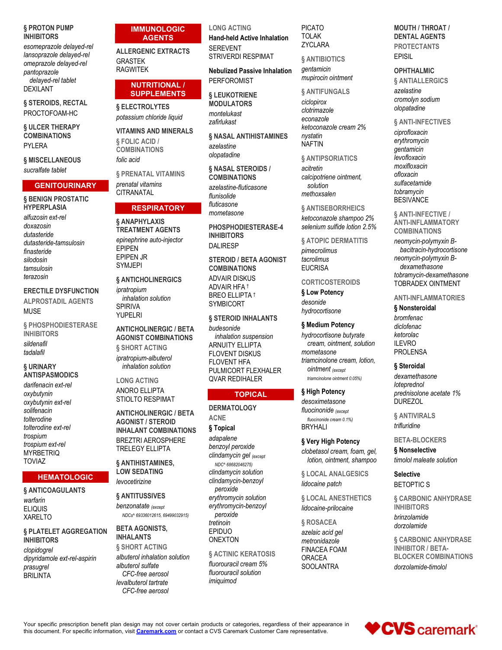# § PROTON PUMP **INHIBITORS**

esomeprazole delayed-rel lansoprazole delayed-rel omeprazole delayed-rel pantoprazole delaved-rel tablet **DEXILANT** 

§ STEROIDS, RECTAL PROCTOFOAM-HC

§ ULCER THERAPY **COMBINATIONS** PYLERA

# **§ MISCELLANEOUS**

sucralfate tablet

# **GENITOURINARY** § BENIGN PROSTATIC **HYPERPLASIA**

alfuzosin ext-rel doxazosin dutasteride dutasteride-tamsulosin finasteride silodosin tamsulosin terazosin

## **ERECTILE DYSFUNCTION**

**ALPROSTADIL AGENTS MUSE** 

§ PHOSPHODIESTERASE **INHIBITORS** sildenafil tadalafil

## § URINARY **ANTISPASMODICS** darifenacin ext-rel

oxybutynin oxybutynin ext-rel solifenacin tolterodine tolterodine ext-rel trospium trospium ext-rel **MYRBETRIQ TOVIAZ** 

# **HEMATOLOGIC**

# § ANTICOAGULANTS warfarin **ELIQUIS XARELTO**

# § PLATELET AGGREGATION **INHIBITORS**

clopidogrel dipyridamole ext-rel-aspirin prasugrel **BRILINTA** 

**AGENTS ALLERGENIC EXTRACTS GRASTEK RAGWITEK** 

# **NUTRITIONAL / SUPPLEMENTS**

**IMMUNOLOGIC** 

**& ELECTROLYTES** potassium chloride liquid

**VITAMINS AND MINERALS** § FOLIC ACID / **COMBINATIONS** folic acid

§ PRENATAL VITAMINS prenatal vitamins **CITRANATAL** 

# **RESPIRATORY**

# § ANAPHYLAXIS **TREATMENT AGENTS**

epinephrine auto-injector **EPIPEN** EPIPEN JR **SYMJEPI** 

# § ANTICHOLINERGICS

ipratropium inhalation solution **SPIRIVA** YUPFI RI

# **ANTICHOLINERGIC / BETA AGONIST COMBINATIONS § SHORT ACTING**

ipratropium-albuterol inhalation solution

**LONG ACTING** ANORO FI LIPTA STIOL TO RESPIMAT

**ANTICHOLINERGIC / BETA AGONIST / STEROID INHALANT COMBINATIONS BREZTRI AEROSPHERE TRELEGY ELLIPTA** 

**& ANTIHISTAMINES.** LOW SEDATING levocetirizine

§ ANTITUSSIVES benzonatate (except NDCs^ 69336012615, 69499032915)

**BETA AGONISTS. INHALANTS** 

§ SHORT ACTING albuterol inhalation solution albuterol sulfate CFC-free aerosol levalbuterol tartrate CFC-free aerosol

**LONG ACTING Hand-held Active Inhalation SFREVENT STRIVERDI RESPIMAT** 

**Nebulized Passive Inhalation PERFOROMIST** 

§ LEUKOTRIENE **MODULATORS** montelukast

zafirlukast § NASAL ANTIHISTAMINES azelastine olopatadine

§ NASAL STEROIDS / **COMBINATIONS** azelastine-fluticasone flunisolide fluticasone mometasone

PHOSPHODIESTERASE-4 **INHIBITORS DALIRESP** 

**STEROID / BETA AGONIST COMBINATIONS** 

**ADVAIR DISKUS ADVAIR HFA 1 BREO ELLIPTA 1 SYMBICORT** 

# § STEROID INHALANTS

hudesonide inhalation suspension ARNUITY FI LIPTA **FLOVENT DISKUS FLOVENT HFA** PULMICORT FLEXHALER **QVAR REDIHALER** 

# **TOPICAL**

**DERMATOLOGY ACNE** § Topical adapalene benzoyl peroxide clindamycin gel (except NDC^ 68682046275) clindamycin solution clindamycin-benzoyl peroxide erythromycin solution erythromycin-benzoyl peroxide tretinoin EPIDUO **ONEXTON** 

**§ ACTINIC KERATOSIS** 

fluorouracil cream 5% fluorouracil solution imiauimod

**PICATO TOLAK ZYCLARA** 

**& ANTIBIOTICS** 

gentamicin mupirocin ointment

# **& ANTIFUNGALS**

ciclopirox clotrimazole econazole ketoconazole cream 2% nystatin **NAFTIN** 

§ ANTIPSORIATICS

acitretin calcipotriene ointment, solution methovsalen

§ ANTISEBORRHEICS ketoconazole shampoo 2% selenium sulfide lotion 2.5%

# **§ ATOPIC DERMATITIS**

pimecrolimus tacrolimus **EUCRISA** 

# **CORTICOSTEROIDS**

§ Low Potency desonide hydrocortisone

# § Medium Potency

hydrocortisone butyrate cream, ointment, solution mometasone triamcinolone cream, lotion, **ointment** (except triamcinolone ointment 0.05%)

# § High Potency

desoximetasone fluocinonide (except fluocinonide cream 0.1%) **BRYHALI** 

§ Very High Potency clobetasol cream, foam, gel,

lotion, ointment, shampoo

§ LOCAL ANALGESICS lidocaine patch

**§ LOCAL ANESTHETICS** lidocaine-prilocaine

**& ROSACEA** azelaic acid gel metronidazole **FINACEA FOAM ORACEA SOOLANTRA** 

# **MOUTH / THROAT / DENTAL AGENTS PROTECTANTS FPISIL**

## **OPHTHALMIC**

**& ANTIALLERGICS** azelastine cromolyn sodium olopatadine

§ ANTI-INFECTIVES ciprofloxacin erythromycin gentamicin levofloxacin moxifloxacin ofloxacin sulfacetamide tobramycin **BESIVANCE** 

**§ ANTI-INFECTIVE / ANTI-INFLAMMATORY COMBINATIONS** 

neomycin-polymyxin Bbacitracin-hydrocortisone neomycin-polymyxin Bdexamethasone tobramycin-dexamethasone **TOBRADEX OINTMENT** 

# **ANTI-INFLAMMATORIES**

# § Nonsteroidal

bromfenac diclofenac ketorolac **II FVRO PROLENSA** 

# § Steroidal

dexamethasone loteprednol prednisolone acetate 1% **DUREZOL** 

§ ANTIVIRALS trifluridine

## **BETA-BLOCKERS**

§ Nonselective timolol maleate solution

**Selective BETOPTIC S** 

**& CARBONIC ANHYDRASE INHIBITORS** hrinzolamide dorzolamide

**6 CARBONIC ANHYDRASE INHIBITOR / BETA-BLOCKER COMBINATIONS** dorzolamide-timolol



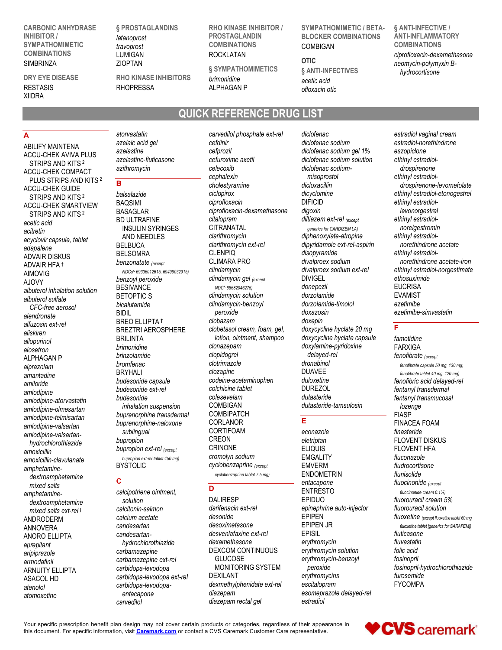CARBONIC ANHYDRASE INHIBITOR / SYMPATHOMIMETIC COMBINATIONS LUMIGAN SIMBRINZA ZIOPTAN

# DRY EYE DISEASE XIIDRA

A

§ PROSTAGLANDINS latanoprost travoprost

RHO KINASE INHIBITORS

LUMIGAN ROCKLATAN ZIOPTAN § SYMPATHOMIMETICS RHO KINASE INHIBITOR / PROSTAGI ANDIN COMBINATIONS COMBIGAN

**ALPHAGAN P** brimonidine ALPHAGAN P
and the ofloxacin otic contract of the set of the set of the set of the set of the set of the set of the set of the set of the set of the set of the set of the set of the set of the set of the set of the set of

# QUICK REFERENCE DRUG LIST

ABILIFY MAINTENA ACCU-CHEK AVIVA PLUS STRIPS AND KITS<sup>2</sup> azerasune-nuucasone celuroxim<br>
azithromycin azithromycin celecoxib ACCU-CHEK COMPACT PLUS STRIPS AND KITS<sup>2</sup> **B** contained a contained by the contact of the contact of the contact of the challesting contact of the challesting challesting challesting **B** ACCU-CHEK GUIDE SUCCITION OF THE SUITS 2 balsalazide based of the ciclopirox ACCU-CHEK SMARTVIEW BAQSIMI<br>STRIPS AND KITS 2 BASAGLAR acetic acid acitretin acyclovir capsule, tablet **AND NET**<br>
adopplane BELBUCA adapalene ADVAIR HFA AJOVY<br>AJOVY benzoyl peroxide<br>albutoral inhelation colution BESIVANCE albuterol inhalation solution<br>elbuterel sulfate BETOPTIC S albuterol sulfate but but but the same of the series of the series of the series of the series of the series o<br>Calculation bicalutamide CFC-free aerosol blocalu<br>endranete alendronate alfuzosin ext-rel allopurinol alosetron ALPHAGAN P alprazolam amantadine amiloride budesonide capsule amlodipine amlodipine-atorvastatin amlodipine-olmesartan amlodipine-telmisartan amlodipine-valsartan amlodipine-valsartanhydrochlorothiazide amoxicillin-clavulanate bupropion ext<br>
amphotomine BYSTOLIC amphetamine $d$ extroamphetamine  $\overline{c}$ mixed salts amphetaminedextroamphetamine solution mixed salts ext-rel<sup>t</sup> ANDRODERM<br>ANDRODERM calcium acetate desonide<br>ANNOVERA candesartan desoxime ANNOVERA ANORO ELLIPTA aprepitant aripiprazole carbamazepine armodafinil ARNUITY ELLIPTA ASACOL HD carbidopa-levodopa ext-rel atenolol atomoxetine

azelaic acid gel azelastine azelastine-fluticasone azithromycin

# **B B B B**

STRIPS AND KITS<sup>2</sup> BASAGLAR BASALES EXPLOSED BY THE STRIPS AND LILT TRAFINE ADVAIR DISKUS AIMOVIG NET NET NEWS 69336012615, 69499032915) CHILIODITIY CITI n amoxicillin bupropion ext-rel (except CRINONE balsalazide BAQSIMI BD ULTRAFINE *citalopram*<br>INSULIN SYRINGES **CITRANATAL** INSULIN SYRINGES CITRANATAL<br>AND NEEDI ES clarithromycin AND NEEDLES BELSOMRA **benzonatate** (except **CLIMARA P**<br>NDCs^ 69336012615 69499032915) **Clindamycin** BREO ELLIPTA<sup>†</sup> brimonidine brinzolamide bromfenac BRYHALI budesonide ext-rel budesonide colesevelam<br>inhalation suspension COMBIGAN inhalation suspension buprenorphine transdermal buprenorphine-naloxone sublingual bupropion CREON bupropion ext-rel tablet 450 mg)

# **C** and the contract of the contract of the contract of the contract of the contract of the contract of the contract of the contract of the contract of the contract of the contract of the contract of the contract of the co

calcipotriene ointment, calcitonin-salmon calcium acetate candesartanhydrochlorothiazide carbamazepine ext-rel carbidopa-levodopa carbidopa-levodopaentacapone diazepam carvedilol

aliskiren bilande bilan bilan bilan bilan bilan bilan bilan bilan bilan bilan bilan bilan bilan bilan bilan bi<br>BREZTRI AEROSPHERE bilan bilan bilan bilan bilan bilan bilan bilan bilan bilan bilan bilan bilan bilan bilan b atorvastatin carvedilol phosphate ext-rel BASAGLAR ciprofloxacin-dexamethasone digoxin BELBUCA clarithromycin ext-rel dipy benzoyl peroxide entitled indamycin gel (except clindamyching DIVIGEL BESIVANCE NDC^ 68682046275) and the done pez BETOPTIC S **Example 2** clindamycin solution and a dorzolamide bicalutamide clindamycin-benzoyl peroxide BRILINTA *Iotion, ointment, shampoo*<br> *brimonidine* clonazepam budesonide capsule codeine-acetaminophen BYSTOLIC cyclobenzaprine (except EMVERM cefdinir cefprozil cefuroxime axetil celecoxib diclofenac sodiumcephalexin misoprostol cholestyramine ciprofloxacin citalopram diltiazem ext-rel <sub>(except</sub> ethinyl es CITRANATAL *generics for CARDIZEM LA norelgestrc* clarithromycin diphenoxylate-atropine clindamycin divalproex sodium ext-rel clobazam doxepin<br>clobatacel cream feam gel devycycline hydata 20 mg **F** clobetasol cream, foam, gel, clonazepam doxylamine-pyridoxine clopidogrel clotrimazole clozapine DUAVEE colchicine tablet colesevelam COMBIGAN dutasteride-tamsulosin COMBIPATCH CORLANOR CORTIFOAM CRINONE ELIQUIS cromolyn sodium

cyclobenzaprine tablet 7.5 mg)

# D<sub>2</sub> and the property of the state of the state of the state of the state of the state of the state of the state of the state of the state of the state of the state of the state of the state of the state of the state of th

candesartan desoximetasone EPIPEN JR carbamazepine DEXCOM CONTINUOUS darifenacin ext-rel desvenlafaxine ext-rel dexamethasone GLUCOSE DEXILANT erythromycins dexmethylphenidate ext-rel diazepam esomeprazole delayed-rel diazepam rectal gel

dicyclomine<br>DIFICID disopyramide divalproex sodium doxazosin lotion, ointment, shampoo doxycycline hyclate capsule diclofenac sodium gel 1% diclofenac sodium solution dipyridamole ext-rel-aspirin disopyramide ethinyl estradioldonepezil dorzolamide dorzolamide-timolol doxepin doxycycline hyclate 20 mg delayed-rel dronabinol

SYMPATHOMIMETIC / BETA-BLOCKER COMBINATIONS

§ ANTI-INFECTIVES

OTIC

acetic acid

# Experience of the state of the

solution DALIRESP eletriptan EPIPEN **EMGALITY** ENDOMETRIN epinephrine auto-injector erythromycin erythromycin solution erythromycin-benzoyl escitalopram estradiol

COMBIGAN COMBINATIONS § ANTI-INFECTIVE / ANTI-INFLAMMATORY ciprofloxacin-dexamethasone neomycin-polymyxin Bhydrocortisone

diclofenac estradiol vaginal cream diclofenac sodium estradiol-norethindrone dicloxacillin drospirenone-levomefolate dicyclomine ethinyl estradiol-etonogestrel DIFICID ethinyl estradioldigoxin levonorgestrel divalproex sodium norethindrone acetate-iron DIVIGEL ethosuximide doxazosin ezetimibe-simvastatin eszopiclone ethinyl estradioldrospirenone ethinyl estradiolethinyl estradiolnorelgestromin ethinyl estradiolnorethindrone acetate ethinyl estradiol-norgestimate EUCRISA EVAMIST ezetimibe

# **F F F F**

MONITORING SYSTEM peroxide fosinopril-hydrochlorothiazide DUAVEE fenofibrate tablet 40 mg, 120 mg) duloxetine fenofibric acid delayed-rel DUREZOL **fentanyl** transdermal dutasteride fentanyl transmucosal econazole finasteride eletriptan FLOVENT DISKUS ELIQUIS FLOVENT HFA EMVERM fludrocortisone entacapone fluocinonide (except ENTRESTO fluocinonide cream 0.1%) EPIDUO fluorouracil cream 5% EPIPEN fluoxetine (except fluoxetine tablet 60 mg, EPIPEN JR<br>
fluoxetine tablet [generics for SARAFEM]) EPISIL fluticasone famotidine FARXIGA fenofibrate (except fenofibrate capsule 50 mg, 130 mg; lozenge FIASP FINACEA FOAM fluconazole flunisolide fluorouracil solution fluvastatin folic acid fosinopril furosemide FYCOMPA

Your specific prescription benefit plan design may not cover certain products or categories, regardless of their appearance in this document. For specific information, visit Caremark.com or contact a CVS Caremark Customer this document. For specific information, visit Caremark.com or contact a CVS Caremark Customer Care representative.

RESTASIS RHOPRESSA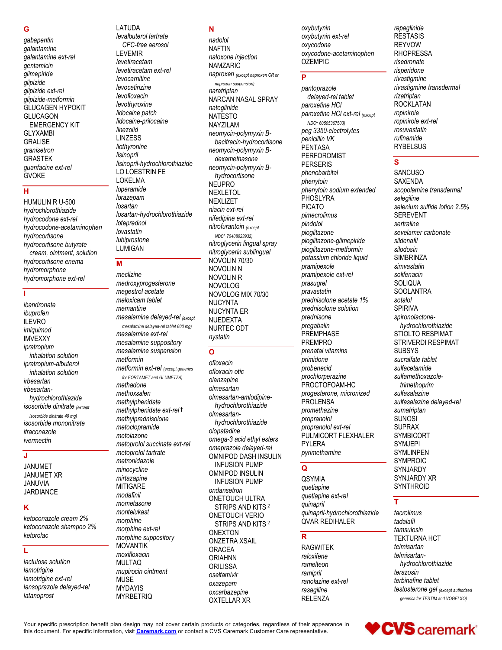# G

gabapentin galantamine galantamine ext-rel gentamicin alimepiride glipizide glipizide ext-rel glipizide-metformin GLUCAGEN HYPOKIT **GLUCAGON EMERGENCY KIT GLYXAMBI GRALISE** granisetron **GRASTEK** guanfacine ext-rel **GVOKE** 

# $H$

HUMULIN R U-500 hvdrochlorothiazide hvdrocodone ext-rel hydrocodone-acetaminophen hydrocortisone hydrocortisone butyrate cream, ointment, solution hydrocortisone enema hydromorphone hydromorphone ext-rel

# ï

ibandronate ibuprofen **ILEVRO** imiauimod **IMVEXXY** ipratropium inhalation solution ipratropium-albuterol inhalation solution irbesartan irbesartanhydrochlorothiazide isosorbide dinitrate (except isosorbide dinitrate 40 mg) isosorbide mononitrate itraconazole ivermectin

# J

**JANUMET JANUMET XR JANUVIA JARDIANCE** 

# $\overline{\mathsf{k}}$

ketoconazole cream 2% ketoconazole shampoo 2% ketorolac

# Ĺ

lactulose solution lamotrigine lamotrigine ext-rel lansoprazole delayed-rel latanoprost

levalbuterol tartrate CFC-free aerosol **LEVEMIR** levetiracetam levetiracetam ext-rel levocarnitine levocetirizine levofloxacin levothyroxine lidocaine patch lidocaine-prilocaine linezolid **LINZESS** liothyronine lisinopril lisinopril-hydrochlorothiazide LO LOESTRIN FE **LOKELMA** loperamide lorazepam losartan losartan-hydrochlorothiazide loteprednol lovastatin lubiprostone LUMIGAN

LATUDA

# M

meclizine medroxyprogesterone megestrol acetate meloxicam tablet memantine mesalamine delayed-rel (except mesalamine delayed-rel tablet 800 mg) mesalamine ext-rel mesalamine suppository mesalamine suspension metformin metformin ext-rel (except generics for FORTAMET and GLUMETZA) methadone methoxsalen methylphenidate methylphenidate ext-rel 1 methylprednisolone metoclopramide metolazone metoprolol succinate ext-rel metoprolol tartrate metronidazole minocycline mirtazapine **MITIGARE** modafinil mometasone montelukast morphine morphine ext-rel morphine suppository **MOVANTIK** moxifloxacin **MULTAQ** mupirocin ointment **MUSE MYDAYIS MYRBETRIQ** 

# N

nadolol **NAFTIN** naloxone injection **NAMZARIC** naproxen (except naproxen CR or naproxen suspension) naratriptan NARCAN NASAL SPRAY nateglinide **NATESTO NAYZILAM** neomycin-polymyxin Bbacitracin-hydrocortisone neomycin-polymyxin Bdexamethasone neomycin-polymyxin Bhydrocortisone **NEUPRO NEXLETOL NEXLIZET** niacin ext-rel nifedipine ext-rel nitrofurantoin (except NDC^ 70408023932) nitroglycerin lingual spray nitroglycerin sublingual NOVOLIN 70/30 **NOVOLIN N NOVOLIN R NOVOLOG** NOVOLOG MIX 70/30 **NUCYNTA NUCYNTA ER** NUEDEXTA NURTEC ODT nystatin

# $\overline{\Omega}$

ofloxacin ofloxacin otic olanzapine olmesartan olmesartan-amlodipinehydrochlorothiazide olmesartanhydrochlorothiazide olopatadine omega-3 acid ethyl esters omeprazole delayed-rel OMNIPOD DASH INSULIN **INFUSION PUMP OMNIPOD INSULIN INFUSION PUMP** ondansetron **ONETOUCH ULTRA** STRIPS AND KITS<sup>2</sup> **ONETOUCH VERIO** STRIPS AND KITS<sup>2</sup> **ONEXTON ONZETRA XSAIL ORACEA ORIAHNN ORILISSA** oseltamivir oxazepam oxcarbazepine **OXTELLAR XR** 

oxybutynin oxybutynin ext-rel oxycodone oxycodone-acetaminophen **OZEMPIC** 

### $\overline{\mathsf{P}}$

pantoprazole delayed-rel tablet paroxetine HCI paroxetine HCI ext-rel (except NDC^ 60505367503) peg 3350-electrolytes penicillin VK **PENTASA PERFOROMIST PERSERIS** phenobarbital phenytoin phenytoin sodium extended PHOSLYRA **PICATO** pimecrolimus pindolol pioglitazone pioglitazone-glimepiride pioglitazone-metformin potassium chloride liquid pramipexole pramipexole ext-rel prasugrel pravastatin prednisolone acetate 1% prednisolone solution prednisone pregabalin PREMPHASE **PREMPRO** prenatal vitamins primidone probenecid prochlorperazine PROCTOFOAM-HC progesterone, micronized PROLENSA promethazine propranolol propranolol ext-rel PULMICORT FLEXHALER **PYLERA** pyrimethamine

## Q

**QSYMIA** quetiapine quetiapine ext-rel quinapril quinapril-hydrochlorothiazide OVAR REDIHALER

# $\mathbf{p}$

**RAGWITEK** raloxifene ramelteon ramipril ranolazine ext-rel rasagiline **RELENZA** 

repaglinide **RESTASIS REYVOW RHOPRESSA** risedronate risperidone rivastigmine rivastigmine transdermal rizatriptan **ROCKLATAN** ropinirole ropinirole ext-rel rosuvastatin rufinamide **RYBELSUS** 

# $\mathbf{s}$

SANCUSO SAXENDA scopolamine transdermal selegiline selenium sulfide lotion 2.5% **SFREVENT** sertraline sevelamer carbonate sildenafil silodosin **SIMBRINZA** simvastatin solifenacin SOLIQUA **SOOLANTRA** sotalol **SPIRIVA** spironolactonehydrochlorothiazide STIOLTO RESPIMAT **STRIVERDI RESPIMAT SUBSYS** sucralfate tablet sulfacetamide sulfamethoxazoletrimethoprim sulfasalazine sulfasalazine delayed-rel sumatriptan **SUNOSI SUPRAX SYMBICORT SYMJEPI SYMLINPEN SYMPROIC** SYNJARDY SYNJARDY XR SYNTHROID

# Ŧ

tacrolimus tadalafil tamsulosin **TEKTURNA HCT** telmisartan telmisartanhydrochlorothiazide terazosin terbinafine tablet testosterone gel (except authorized generics for TESTIM and VOGELXO)

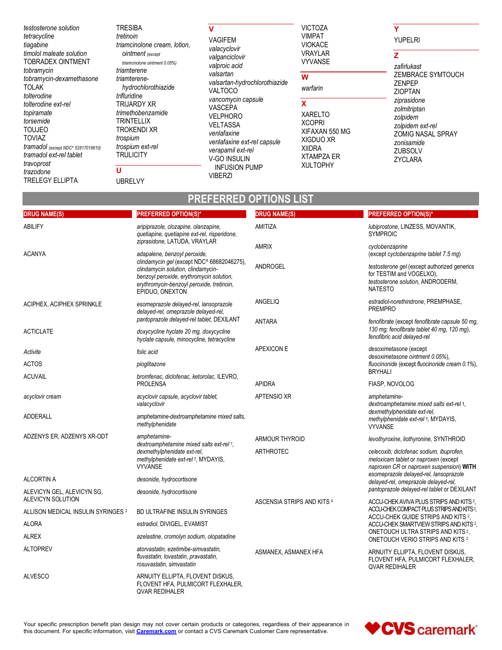testosterone solution tetracycline tiagabine timolol maleate solution TOBRADEX OINTMENT tobramycin tobramycin-dexamethasone **TOLAK** tolterodine tolterodine ext-rel topiramate torsemide **TOUJEO TOVIAZ** tramadol (except NDC^ 52817019610) tramadol ext-rel tablet travoprost trazodone **TRELEGY ELLIPTA** 

# **TRESIBA** tretinoin triamcinolone cream, lotion, ointment (except triamcinolone ointment 0.05%) triamterene triamterenehydrochlorothiazide trifluridine **TRIJARDY XR** trimethobenzamide **TRINTELLIX TROKENDI XR** trospium trospium ext-rel **TRULICITY**

Ù

**UBRELVY** 

# $\mathbf{V}$

**VAGIFEM** valacyclovir valganciclovir valproic acid valsartan valsartan-hydrochlorothiazide VALTOCO vancomycin capsule VASCEPA **VELPHORO VELTASSA** venlafaxine venlafaxine ext-rel capsule verapamil ext-rel V-GO INSULIN **INFUSION PUMP VIBERZI** 

## **VICTOZA VIMPAT VIOKACE** VRAYLAR

VYVANSE

# $\overline{\mathbf{w}}$

warfarin

## $\overline{\mathbf{x}}$

**XARELTO XCOPRI** XIFAXAN 550 MG XIGDUO XR **XIIDRA XTAMPZA ER XULTOPHY** 

# **YUPELRI**

# $\overline{z}$

Ÿ

zafirlukast ZEMBRACE SYMTOUCH ZENPEP **ZIOPTAN** ziprasidone zolmitriptan zolpidem zolpidem ext-rel ZOMIG NASAL SPRAY zonisamide ZUBSOLV ZYCLARA

# **PREFERRED OPTIONS LIST**

| <b>DRUG NAME(S)</b>                             | <b>PREFERRED OPTION(S)*</b>                                                                                                                                                                  | <b>DRUG NAME(S)</b>        | <b>PREFERRED OPTION(S)*</b>                                                                                                     |
|-------------------------------------------------|----------------------------------------------------------------------------------------------------------------------------------------------------------------------------------------------|----------------------------|---------------------------------------------------------------------------------------------------------------------------------|
| <b>ABILIFY</b>                                  | aripiprazole, clozapine, olanzapine,<br>quetiapine, quetiapine ext-rel, risperidone,                                                                                                         | AMITIZA                    | lubiprostone, LINZESS, MOVANTIK,<br><b>SYMPROIC</b>                                                                             |
| <b>ACANYA</b>                                   | ziprasidone, LATUDA, VRAYLAR<br>adapalene, benzoyl peroxide,                                                                                                                                 | <b>AMRIX</b>               | cyclobenzaprine<br>(except cyclobenzaprine tablet 7.5 mg)                                                                       |
|                                                 | clindamycin gel (except NDC^ 68682046275),<br>clindamycin solution, clindamycin-<br>benzoyl peroxide, erythromycin solution,<br>erythromycin-benzoyl peroxide, tretinoin,<br>EPIDUO, ONEXTON | ANDROGEL                   | testosterone gel (except authorized generics<br>for TESTIM and VOGELXO),<br>testosterone solution, ANDRODERM,<br><b>NATESTO</b> |
| ACIPHEX, ACIPHEX SPRINKLE                       | esomeprazole delayed-rel, lansoprazole<br>delayed-rel, omeprazole delayed-rel,                                                                                                               | ANGELIQ                    | estradiol-norethindrone, PREMPHASE,<br><b>PREMPRO</b>                                                                           |
|                                                 | pantoprazole delayed-rel tablet, DEXILANT                                                                                                                                                    | <b>ANTARA</b>              | fenofibrate (except fenofibrate capsule 50 mg,                                                                                  |
| <b>ACTICLATE</b>                                | doxycycline hyclate 20 mg, doxycycline<br>hyclate capsule, minocycline, tetracycline                                                                                                         |                            | 130 mg; fenofibrate tablet 40 mg, 120 mg),<br>fenofibric acid delayed-rel                                                       |
| Activite                                        | folic acid                                                                                                                                                                                   | APEXICON E                 | desoximetasone (except<br>desoximetasone ointment 0.05%).                                                                       |
| <b>ACTOS</b>                                    | pioglitazone                                                                                                                                                                                 |                            | fluocinonide (except fluocinonide cream 0.1%),<br><b>BRYHALI</b>                                                                |
| <b>ACUVAIL</b>                                  | bromfenac, diclofenac, ketorolac, ILEVRO,<br><b>PROLENSA</b>                                                                                                                                 | <b>APIDRA</b>              | FIASP, NOVOLOG                                                                                                                  |
| acyclovir cream                                 | acyclovir capsule, acyclovir tablet,<br>valacyclovir                                                                                                                                         | APTENSIO XR                | amphetamine-<br>dextroamphetamine mixed salts ext-rel +,                                                                        |
| <b>ADDERALL</b>                                 | amphetamine-dextroamphetamine mixed salts.<br>methylphenidate                                                                                                                                |                            | dexmethylphenidate ext-rel,<br>methylphenidate ext-rel +, MYDAYIS,<br><b>VYVANSE</b>                                            |
| ADZENYS ER, ADZENYS XR-ODT                      | amphetamine-                                                                                                                                                                                 | <b>ARMOUR THYROID</b>      | levothyroxine, liothyronine, SYNTHROID                                                                                          |
|                                                 | dextroamphetamine mixed salts ext-rel +,<br>dexmethylphenidate ext-rel,<br>methylphenidate ext-rel +, MYDAYIS,<br><b>VYVANSE</b>                                                             | ARTHROTEC                  | celecoxib; diclofenac sodium, ibuprofen,<br>meloxicam tablet or naproxen (except<br>naproxen CR or naproxen suspension) WITH    |
| <b>ALCORTIN A</b>                               | desonide, hydrocortisone                                                                                                                                                                     |                            | esomeprazole delayed-rel, lansoprazole<br>delayed-rel, omeprazole delayed-rel,                                                  |
| ALEVICYN GEL, ALEVICYN SG,<br>ALEVICYN SOLUTION | desonide, hydrocortisone                                                                                                                                                                     | ASCENSIA STRIPS AND KITS 4 | pantoprazole delayed-rel tablet or DEXILANT<br>ACCU-CHEK AVIVA PLUS STRIPS AND KITS 2,                                          |
| ALLISON MEDICAL INSULIN SYRINGES 3              | BD ULTRAFINE INSULIN SYRINGES                                                                                                                                                                |                            | ACCU-CHEK COMPACT PLUS STRIPS AND KITS <sup>2</sup> ,                                                                           |
| <b>ALORA</b>                                    | estradiol, DIVIGEL, EVAMIST                                                                                                                                                                  |                            | ACCU-CHEK GUIDE STRIPS AND KITS 2,<br>ACCU-CHEK SMARTVIEW STRIPS AND KITS 2,                                                    |
| <b>ALREX</b>                                    | azelastine, cromolyn sodium, olopatadine                                                                                                                                                     |                            | ONETOUCH ULTRA STRIPS AND KITS <sup>2</sup> ,<br>ONETOUCH VERIO STRIPS AND KITS 2                                               |
| <b>ALTOPREV</b>                                 | atorvastatin, ezetimibe-simvastatin,<br>fluvastatin, lovastatin, pravastatin,<br>rosuvastatin, simvastatin                                                                                   | ASMANEX, ASMANEX HFA       | ARNUITY ELLIPTA, FLOVENT DISKUS,<br>FLOVENT HFA, PULMICORT FLEXHALER,<br><b>QVAR REDIHALER</b>                                  |
| <b>ALVESCO</b>                                  | ARNUITY ELLIPTA, FLOVENT DISKUS,<br>FLOVENT HFA, PULMICORT FLEXHALER,<br>OVAR REDIHALER                                                                                                      |                            |                                                                                                                                 |

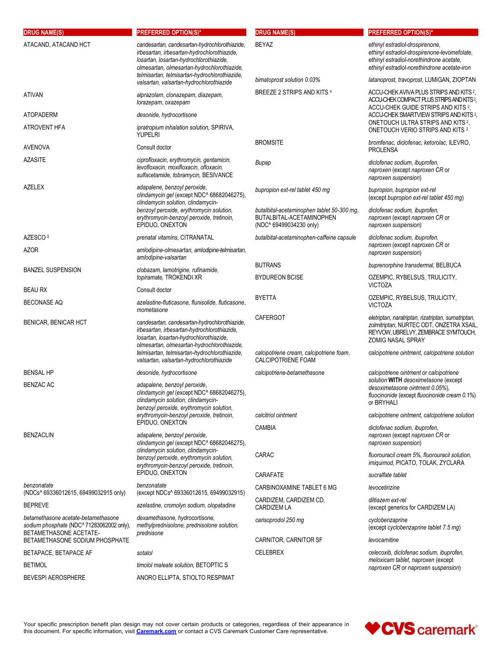| <b>DRUG NAME(S)</b><br>ATACAND, ATACAND HCT                                                                | <b>PREFERRED OPTION(S)*</b><br>candesartan, candesartan-hydrochlorothiazide,<br>irbesartan, irbesartan-hydrochlorothiazide,<br>losartan, losartan-hydrochlorothiazide,<br>olmesartan, olmesartan-hydrochlorothiazide, | <b>DRUG NAME(S)</b><br><b>BEYAZ</b>                                           | <b>PREFERRED OPTION(S)*</b><br>ethinyl estradiol-drospirenone,<br>ethinyl estradiol-drospirenone-levomefolate,<br>ethinyl estradiol-norethindrone acetate,<br>ethinyl estradiol-norethindrone acetate-iron |
|------------------------------------------------------------------------------------------------------------|-----------------------------------------------------------------------------------------------------------------------------------------------------------------------------------------------------------------------|-------------------------------------------------------------------------------|------------------------------------------------------------------------------------------------------------------------------------------------------------------------------------------------------------|
|                                                                                                            | telmisartan, telmisartan-hydrochlorothiazide,                                                                                                                                                                         | bimatoprost solution 0.03%                                                    | latanoprost, travoprost, LUMIGAN, ZIOPTAN                                                                                                                                                                  |
| <b>ATIVAN</b>                                                                                              | valsartan, valsartan-hydrochlorothiazide<br>alprazolam, clonazepam, diazepam,<br>lorazepam, oxazepam                                                                                                                  | BREEZE 2 STRIPS AND KITS 4                                                    | ACCU-CHEK AVIVA PLUS STRIPS AND KITS <sup>2</sup> ,<br>ACCU-CHEK COMPACT PLUS STRIPS AND KITS <sup>2</sup> ,<br>ACCU-CHEK GUIDE STRIPS AND KITS 2,                                                         |
| <b>ATOPADERM</b>                                                                                           | desonide, hydrocortisone                                                                                                                                                                                              |                                                                               | ACCU-CHEK SMARTVIEW STRIPS AND KITS 2,                                                                                                                                                                     |
| ATROVENT HFA                                                                                               | ipratropium inhalation solution, SPIRIVA,<br><b>YUPELRI</b>                                                                                                                                                           |                                                                               | ONETOUCH ULTRA STRIPS AND KITS <sup>2</sup> ,<br>ONETOUCH VERIO STRIPS AND KITS 2                                                                                                                          |
| AVENOVA                                                                                                    | Consult doctor                                                                                                                                                                                                        | <b>BROMSITE</b>                                                               | bromfenac, diclofenac, ketorolac, ILEVRO,<br><b>PROLENSA</b>                                                                                                                                               |
| AZASITE                                                                                                    | ciprofloxacin, erythromycin, gentamicin,<br>levofloxacin, moxifloxacin, ofloxacin,<br>sulfacetamide, tobramycin, BESIVANCE                                                                                            | Bupap                                                                         | diclofenac sodium, ibuprofen,<br>naproxen (except naproxen CR or<br>naproxen suspension)                                                                                                                   |
| AZELEX                                                                                                     | adapalene, benzoyl peroxide,<br>clindamycin gel (except NDC^ 68682046275),<br>clindamycin solution, clindamycin-<br>benzoyl peroxide, erythromycin solution,                                                          | bupropion ext-rel tablet 450 mg<br>butalbital-acetaminophen tablet 50-300 mg, | bupropion, bupropion ext-rel<br>(except bupropion ext-rel tablet 450 mg)<br>diclofenac sodium, ibuprofen,                                                                                                  |
|                                                                                                            | erythromycin-benzoyl peroxide, tretinoin,<br>EPIDUO, ONEXTON                                                                                                                                                          | BUTALBITAL-ACETAMINOPHEN<br>(NDC^ 69499034230 only)                           | naproxen (except naproxen CR or<br>naproxen suspension)                                                                                                                                                    |
| AZESCO <sup>5</sup>                                                                                        | prenatal vitamins, CITRANATAL                                                                                                                                                                                         | butalbital-acetaminophen-caffeine capsule                                     | diclofenac sodium, ibuprofen,<br>naproxen (except naproxen CR or                                                                                                                                           |
| <b>AZOR</b>                                                                                                | amlodipine-olmesartan, amlodipine-telmisartan,<br>amlodipine-valsartan                                                                                                                                                |                                                                               | naproxen suspension)                                                                                                                                                                                       |
| <b>BANZEL SUSPENSION</b>                                                                                   | clobazam, lamotrigine, rufinamide,                                                                                                                                                                                    | <b>BUTRANS</b>                                                                | buprenorphine transdermal, BELBUCA                                                                                                                                                                         |
|                                                                                                            | topiramate, TROKENDI XR                                                                                                                                                                                               | <b>BYDUREON BCISE</b>                                                         | OZEMPIC, RYBELSUS, TRULICITY,<br><b>VICTOZA</b>                                                                                                                                                            |
| <b>BEAU RX</b>                                                                                             | Consult doctor                                                                                                                                                                                                        | <b>BYETTA</b>                                                                 | OZEMPIC, RYBELSUS, TRULICITY,                                                                                                                                                                              |
| <b>BECONASE AQ</b>                                                                                         | azelastine-fluticasone, flunisolide, fluticasone,<br>mometasone                                                                                                                                                       |                                                                               | <b>VICTOZA</b>                                                                                                                                                                                             |
| <b>BENICAR, BENICAR HCT</b>                                                                                | candesartan, candesartan-hydrochlorothiazide,<br>irbesartan, irbesartan-hydrochlorothiazide,<br>losartan, losartan-hydrochlorothiazide,<br>olmesartan, olmesartan-hydrochlorothiazide,                                | <b>CAFERGOT</b>                                                               | eletriptan, naratriptan, rizatriptan, sumatriptan,<br>zolmitriptan, NURTEC ODT, ONZETRA XSAIL<br>REYVOW, UBRELVY, ZEMBRACE SYMTOUCH,<br><b>ZOMIG NASAL SPRAY</b>                                           |
|                                                                                                            | telmisartan, telmisartan-hydrochlorothiazide,<br>valsartan, valsartan-hydrochlorothiazide                                                                                                                             | calcipotriene cream, calcipotriene foam,<br><b>CALCIPOTRIENE FOAM</b>         | calcipotriene ointment, calcipotriene solution                                                                                                                                                             |
| <b>BENSAL HP</b>                                                                                           | desonide, hydrocortisone                                                                                                                                                                                              | calcipotriene-betamethasone                                                   | calcipotriene ointment or calcipotriene<br>solution WITH desoximetasone (except                                                                                                                            |
| <b>BENZAC AC</b>                                                                                           | adapalene, benzoyl peroxide,<br>clindamycin gel (except NDC^ 68682046275),<br>clindamycin solution, clindamycin-<br>benzoyl peroxide, erythromycin solution,                                                          |                                                                               | desoximetasone ointment 0.05%),<br>fluocinonide (except fluocinonide cream 0.1%)<br>or BRYHALI                                                                                                             |
|                                                                                                            | erythromycin-benzoyl peroxide, tretinoin,                                                                                                                                                                             | calcitriol ointment                                                           | calcipotriene ointment, calcipotriene solution                                                                                                                                                             |
| <b>BENZACLIN</b>                                                                                           | EPIDUO, ONEXTON<br>adapalene, benzoyl peroxide,<br>clindamycin gel (except NDC^ 68682046275),                                                                                                                         | CAMBIA                                                                        | diclofenac sodium, ibuprofen,<br>naproxen (except naproxen CR or<br>naproxen suspension)                                                                                                                   |
|                                                                                                            | clindamycin solution, clindamycin-<br>benzoyl peroxide, erythromycin solution,<br>erythromycin-benzoyl peroxide, tretinoin,                                                                                           | CARAC                                                                         | fluorouracil cream 5%, fluorouracil solution,<br>imiquimod, PICATO, TOLAK, ZYCLARA                                                                                                                         |
|                                                                                                            | EPIDUO, ONEXTON                                                                                                                                                                                                       | CARAFATE                                                                      | sucralfate tablet                                                                                                                                                                                          |
| benzonatate                                                                                                | benzonatate                                                                                                                                                                                                           | CARBINOXAMINE TABLET 6 MG                                                     | levocetirizine                                                                                                                                                                                             |
| (NDCs^ 69336012615, 69499032915 only)<br><b>BEPREVE</b>                                                    | (except NDCs^ 69336012615, 69499032915)<br>azelastine, cromolyn sodium, olopatadine                                                                                                                                   | CARDIZEM, CARDIZEM CD,                                                        | diltiazem ext-rel                                                                                                                                                                                          |
| betamethasone acetate-betamethasone<br>sodium phosphate (NDC^ 71283062002 only),<br>BETAMETHASONE ACETATE- | dexamethasone, hydrocortisone,<br>methylprednisolone, prednisolone solution,<br>prednisone                                                                                                                            | <b>CARDIZEM LA</b><br>carisoprodol 250 mg                                     | (except generics for CARDIZEM LA)<br>cyclobenzaprine<br>(except cyclobenzaprine tablet 7.5 mg)                                                                                                             |
| BETAMETHASONE SODIUM PHOSPHATE                                                                             |                                                                                                                                                                                                                       | CARNITOR, CARNITOR SF                                                         | levocarnitine                                                                                                                                                                                              |
| BETAPACE, BETAPACE AF                                                                                      | sotalol                                                                                                                                                                                                               | <b>CELEBREX</b>                                                               | celecoxib, diclofenac sodium, ibuprofen,                                                                                                                                                                   |
| <b>BETIMOL</b>                                                                                             | timolol maleate solution, BETOPTIC S                                                                                                                                                                                  |                                                                               | meloxicam tablet, naproxen (except<br>naproxen CR or naproxen suspension)                                                                                                                                  |
| <b>BEVESPI AEROSPHERE</b>                                                                                  | ANORO ELLIPTA, STIOLTO RESPIMAT                                                                                                                                                                                       |                                                                               |                                                                                                                                                                                                            |

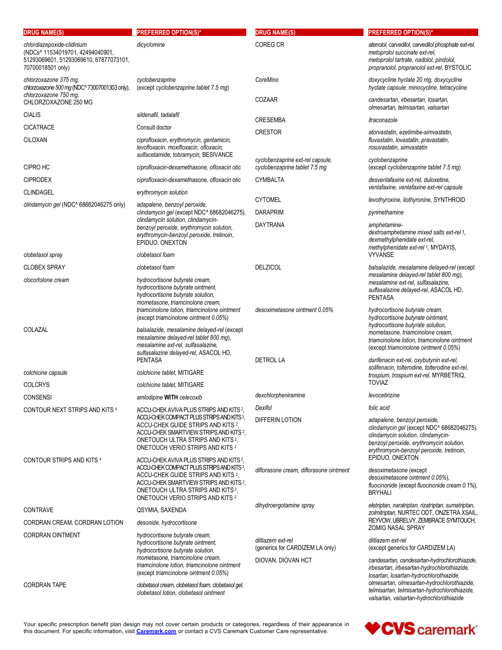| <b>DRUG NAME(S)</b>                                                                                                           | <b>PREFERRED OPTION(S)*</b>                                                                                                                                                                                                                                           | <b>DRUG NAME(S)</b>                                               | <b>PREFERRED OPTION(S)*</b>                                                                                                                                                                                                  |
|-------------------------------------------------------------------------------------------------------------------------------|-----------------------------------------------------------------------------------------------------------------------------------------------------------------------------------------------------------------------------------------------------------------------|-------------------------------------------------------------------|------------------------------------------------------------------------------------------------------------------------------------------------------------------------------------------------------------------------------|
| chlordiazepoxide-clidinium<br>(NDCs^ 11534019701, 42494040901,<br>51293069601, 51293069610, 67877073101,<br>70700018501 only) | dicyclomine                                                                                                                                                                                                                                                           | COREG CR                                                          | atenolol, carvedilol, carvedilol phosphate ext-rel,<br>metoprolol succinate ext-rel,<br>metoprolol tartrate, nadolol, pindolol,<br>propranolol, propranolol ext-rel, BYSTOLIC                                                |
| chlorzoxazone 375 mg,<br>chlorzoxazone 500 mg (NDC^ 73007001303 only),                                                        | cyclobenzaprine<br>(except cyclobenzaprine tablet 7.5 mg)                                                                                                                                                                                                             | CoreMino                                                          | doxycycline hyclate 20 mg, doxycycline<br>hyclate capsule, minocycline, tetracycline                                                                                                                                         |
| chlorzoxazone 750 mg,<br>CHLORZOXAZONE 250 MG                                                                                 |                                                                                                                                                                                                                                                                       | COZAAR                                                            | candesartan, irbesartan, losartan,                                                                                                                                                                                           |
| <b>CIALIS</b>                                                                                                                 | sildenafil, tadalafil                                                                                                                                                                                                                                                 | <b>CRESEMBA</b>                                                   | olmesartan, telmisartan, valsartan<br>itraconazole                                                                                                                                                                           |
| <b>CICATRACE</b>                                                                                                              | Consult doctor                                                                                                                                                                                                                                                        | <b>CRESTOR</b>                                                    | atorvastatin, ezetimibe-simvastatin,                                                                                                                                                                                         |
| <b>CILOXAN</b>                                                                                                                | ciprofloxacin, erythromycin, gentamicin,<br>levofloxacin, moxifloxacin, ofloxacin,<br>sulfacetamide, tobramycin, BESIVANCE                                                                                                                                            |                                                                   | fluvastatin, lovastatin, pravastatin,<br>rosuvastatin, simvastatin                                                                                                                                                           |
| CIPRO HC                                                                                                                      | ciprofloxacin-dexamethasone, ofloxacin otic                                                                                                                                                                                                                           | cyclobenzaprine ext-rel capsule.<br>cyclobenzaprine tablet 7.5 mg | cyclobenzaprine<br>(except cyclobenzaprine tablet 7.5 mg)                                                                                                                                                                    |
| <b>CIPRODEX</b>                                                                                                               | ciprofloxacin-dexamethasone, ofloxacin otic                                                                                                                                                                                                                           | <b>CYMBALTA</b>                                                   | desvenlafaxine ext-rel, duloxetine.                                                                                                                                                                                          |
| <b>CLINDAGEL</b>                                                                                                              | erythromycin solution                                                                                                                                                                                                                                                 |                                                                   | venlafaxine, venlafaxine ext-rel capsule                                                                                                                                                                                     |
| clindamycin gel (NDC^ 68682046275 only)                                                                                       | adapalene, benzoyl peroxide,<br>clindamycin gel (except NDC^ 68682046275),                                                                                                                                                                                            | <b>CYTOMEL</b><br><b>DARAPRIM</b>                                 | levothyroxine, liothyronine, SYNTHROID<br>pyrimethamine                                                                                                                                                                      |
|                                                                                                                               | clindamycin solution, clindamycin-<br>benzoyl peroxide, erythromycin solution,<br>erythromycin-benzoyl peroxide, tretinoin,<br>EPIDUO, ONEXTON                                                                                                                        | <b>DAYTRANA</b>                                                   | amphetamine-<br>dextroamphetamine mixed salts ext-rel +.<br>dexmethylphenidate ext-rel,<br>methylphenidate ext-rel +, MYDAYIS,                                                                                               |
| clobetasol spray                                                                                                              | clobetasol foam                                                                                                                                                                                                                                                       |                                                                   | <b>VYVANSE</b>                                                                                                                                                                                                               |
| <b>CLOBEX SPRAY</b>                                                                                                           | clobetasol foam                                                                                                                                                                                                                                                       | <b>DELZICOL</b>                                                   | balsalazide, mesalamine delayed-rel (except<br>mesalamine delayed-rel tablet 800 mg),                                                                                                                                        |
| clocortolone cream                                                                                                            | hydrocortisone butyrate cream.<br>hydrocortisone butyrate ointment,<br>hydrocortisone butyrate solution,<br>mometasone, triamcinolone cream,                                                                                                                          |                                                                   | mesalamine ext-rel, sulfasalazine,<br>sulfasalazine delayed-rel, ASACOL HD,<br><b>PENTASA</b>                                                                                                                                |
|                                                                                                                               | triamcinolone lotion, triamcinolone ointment<br>(except triamcinolone ointment 0.05%)                                                                                                                                                                                 | desoximetasone ointment 0.05%                                     | hydrocortisone butyrate cream,<br>hydrocortisone butyrate ointment,<br>hydrocortisone butyrate solution,                                                                                                                     |
| COLAZAL                                                                                                                       | balsalazide, mesalamine delayed-rel (except<br>mesalamine delayed-rel tablet 800 mg),<br>mesalamine ext-rel, sulfasalazine,<br>sulfasalazine delayed-rel, ASACOL HD,                                                                                                  |                                                                   | mometasone, triamcinolone cream,<br>triamcinolone lotion, triamcinolone ointment<br>(except triamcinolone ointment 0.05%)                                                                                                    |
|                                                                                                                               | <b>PENTASA</b>                                                                                                                                                                                                                                                        | <b>DETROL LA</b>                                                  | darifenacin ext-rel, oxybutynin ext-rel,<br>solifenacin, tolterodine, tolterodine ext-rel,                                                                                                                                   |
| colchicine capsule                                                                                                            | colchicine tablet, MITIGARE                                                                                                                                                                                                                                           |                                                                   | trospium, trospium ext-rel, MYRBETRIQ,<br><b>TOVIAZ</b>                                                                                                                                                                      |
| <b>COLCRYS</b>                                                                                                                | colchicine tablet, MITIGARE                                                                                                                                                                                                                                           | dexchlorpheniramine                                               | levocetirizine                                                                                                                                                                                                               |
| <b>CONSENSI</b><br>CONTOUR NEXT STRIPS AND KITS 4                                                                             | amlodipine WITH celecoxib<br>ACCU-CHEK AVIVA PLUS STRIPS AND KITS <sup>2</sup>                                                                                                                                                                                        | Dexifol                                                           | folic acid                                                                                                                                                                                                                   |
|                                                                                                                               | ACCU-CHEK COMPACT PLUS STRIPS AND KITS <sup>2</sup> ,<br>ACCU-CHEK GUIDE STRIPS AND KITS 2,<br>ACCU-CHEK SMARTVIEW STRIPS AND KITS 2,<br>ONETOUCH ULTRA STRIPS AND KITS <sup>2</sup> .<br>ONETOUCH VERIO STRIPS AND KITS 2                                            | <b>DIFFERIN LOTION</b>                                            | adapalene, benzoyl peroxide,<br>clindamycin gel (except NDC^ 68682046275),<br>clindamycin solution, clindamycin-<br>benzoyl peroxide, erythromycin solution,<br>erythromycin-benzoyl peroxide, tretinoin,<br>EPIDUO, ONEXTON |
| <b>CONTOUR STRIPS AND KITS 4</b>                                                                                              | ACCU-CHEK AVIVA PLUS STRIPS AND KITS 2,<br>ACCU-CHEK COMPACT PLUS STRIPS AND KITS <sup>2</sup> ,<br>ACCU-CHEK GUIDE STRIPS AND KITS 2,<br>ACCU-CHEK SMARTVIEW STRIPS AND KITS 2.<br>ONETOUCH ULTRA STRIPS AND KITS <sup>2</sup> ,<br>ONETOUCH VERIO STRIPS AND KITS 2 | diflorasone cream, diflorasone ointment                           | desoximetasone (except<br>desoximetasone ointment 0.05%),<br>fluocinonide (except fluocinonide cream 0.1%),<br><b>BRYHALI</b>                                                                                                |
| <b>CONTRAVE</b>                                                                                                               | QSYMIA, SAXENDA                                                                                                                                                                                                                                                       | dihydroergotamine spray                                           | eletriptan, naratriptan, rizatriptan, sumatriptan,<br>zolmitriptan, NURTEC ODT, ONZETRA XSAIL,                                                                                                                               |
| CORDRAN CREAM, CORDRAN LOTION                                                                                                 | desonide, hydrocortisone                                                                                                                                                                                                                                              |                                                                   | REYVOW, UBRELVY, ZEMBRACE SYMTOUCH,<br>ZOMIG NASAL SPRAY                                                                                                                                                                     |
| <b>CORDRAN OINTMENT</b>                                                                                                       | hydrocortisone butyrate cream,<br>hydrocortisone butyrate ointment,<br>hydrocortisone butyrate solution,                                                                                                                                                              | diltiazem ext-rel<br>(generics for CARDIZEM LA only)              | diltiazem ext-rel<br>(except generics for CARDIZEM LA)                                                                                                                                                                       |
|                                                                                                                               | mometasone, triamcinolone cream,<br>triamcinolone lotion, triamcinolone ointment<br>(except triamcinolone ointment 0.05%)                                                                                                                                             | DIOVAN, DIOVAN HCT                                                | candesartan, candesartan-hydrochlorothiazide,<br>irbesartan, irbesartan-hydrochlorothiazide,<br>losartan, losartan-hydrochlorothiazide,                                                                                      |
| <b>CORDRAN TAPE</b>                                                                                                           | clobetasol cream, clobetasol foam, clobetasol gel,<br>clobetasol lotion, clobetasol ointment                                                                                                                                                                          |                                                                   | olmesartan, olmesartan-hydrochlorothiazide,<br>telmisartan, telmisartan-hydrochlorothiazide,<br>valsartan, valsartan-hydrochlorothiazide                                                                                     |

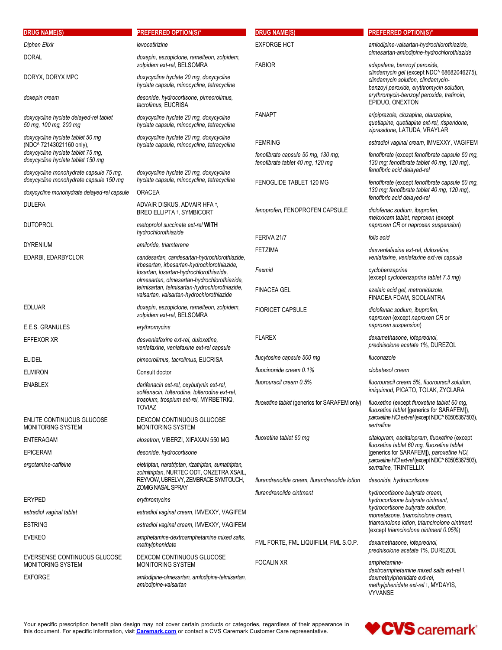|                                                                                                                  | <b>PREFERRED OPTION(S)*</b>                                                                                                              | <b>DRUG NAME(S)</b>                                                    | <b>PREFERRED OPTION(S)*</b>                                                                                                      |
|------------------------------------------------------------------------------------------------------------------|------------------------------------------------------------------------------------------------------------------------------------------|------------------------------------------------------------------------|----------------------------------------------------------------------------------------------------------------------------------|
| Diphen Elixir                                                                                                    | levocetirizine                                                                                                                           | <b>EXFORGE HCT</b>                                                     | amlodipine-valsartan-hydrochlorothiazide,<br>olmesartan-amlodipine-hydrochlorothiazide                                           |
| <b>DORAL</b>                                                                                                     | doxepin, eszopiclone, ramelteon, zolpidem,<br>zolpidem ext-rel, BELSOMRA                                                                 | <b>FABIOR</b>                                                          | adapalene, benzoyl peroxide,                                                                                                     |
| DORYX, DORYX MPC                                                                                                 | doxycycline hyclate 20 mg, doxycycline                                                                                                   |                                                                        | clindamycin gel (except NDC^ 68682046275),<br>clindamycin solution, clindamycin-                                                 |
| doxepin cream                                                                                                    | hyclate capsule, minocycline, tetracycline<br>desonide, hydrocortisone, pimecrolimus,                                                    |                                                                        | benzoyl peroxide, erythromycin solution,<br>erythromycin-benzoyl peroxide, tretinoin,                                            |
|                                                                                                                  | tacrolimus, EUCRISA                                                                                                                      |                                                                        | EPIDUO, ONEXTON                                                                                                                  |
| doxycycline hyclate delayed-rel tablet<br>50 mg, 100 mg, 200 mg                                                  | doxycycline hyclate 20 mg, doxycycline<br>hyclate capsule, minocycline, tetracycline                                                     | <b>FANAPT</b>                                                          | aripiprazole, clozapine, olanzapine,<br>quetiapine, quetiapine ext-rel, risperidone,<br>ziprasidone, LATUDA, VRAYLAR             |
| doxycycline hyclate tablet 50 mg<br>(NDC^ 72143021160 only),                                                     | doxycycline hyclate 20 mg, doxycycline<br>hyclate capsule, minocycline, tetracycline                                                     | <b>FEMRING</b>                                                         | estradiol vaginal cream, IMVEXXY, VAGIFEM                                                                                        |
| doxycycline hyclate tablet 75 mg.<br>doxycycline hyclate tablet 150 mg<br>doxycycline monohydrate capsule 75 mg, | doxycycline hyclate 20 mg, doxycycline                                                                                                   | fenofibrate capsule 50 mg, 130 mg;<br>fenofibrate tablet 40 mg, 120 mg | fenofibrate (except fenofibrate capsule 50 mg,<br>130 mg; fenofibrate tablet 40 mg, 120 mg),<br>fenofibric acid delayed-rel      |
| doxycycline monohydrate capsule 150 mg                                                                           | hyclate capsule, minocycline, tetracycline                                                                                               | FENOGLIDE TABLET 120 MG                                                | fenofibrate (except fenofibrate capsule 50 mg,                                                                                   |
| doxycycline monohydrate delayed-rel capsule                                                                      | ORACEA                                                                                                                                   |                                                                        | 130 mg; fenofibrate tablet 40 mg, 120 mg),<br>fenofibric acid delayed-rel                                                        |
| <b>DULERA</b>                                                                                                    | ADVAIR DISKUS, ADVAIR HFA 1,<br><b>BREO ELLIPTA 1, SYMBICORT</b>                                                                         | fenoprofen, FENOPROFEN CAPSULE                                         | diclofenac sodium, ibuprofen,<br>meloxicam tablet, naproxen (except                                                              |
| <b>DUTOPROL</b>                                                                                                  | metoprolol succinate ext-rel WITH<br>hydrochlorothiazide                                                                                 |                                                                        | naproxen CR or naproxen suspension)                                                                                              |
| <b>DYRENIUM</b>                                                                                                  | amiloride, triamterene                                                                                                                   | FERIVA 21/7                                                            | folic acid                                                                                                                       |
| EDARBI, EDARBYCLOR                                                                                               | candesartan, candesartan-hydrochlorothiazide,                                                                                            | <b>FETZIMA</b>                                                         | desvenlafaxine ext-rel, duloxetine,<br>venlafaxine, venlafaxine ext-rel capsule                                                  |
|                                                                                                                  | irbesartan, irbesartan-hydrochlorothiazide,<br>losartan, losartan-hydrochlorothiazide,                                                   | Fexmid                                                                 | cyclobenzaprine<br>(except cyclobenzaprine tablet 7.5 mg)                                                                        |
|                                                                                                                  | olmesartan, olmesartan-hydrochlorothiazide,<br>telmisartan, telmisartan-hydrochlorothiazide,<br>valsartan, valsartan-hydrochlorothiazide | <b>FINACEA GEL</b>                                                     | azelaic acid gel, metronidazole,<br>FINACEA FOAM, SOOLANTRA                                                                      |
| <b>EDLUAR</b>                                                                                                    | doxepin, eszopiclone, ramelteon, zolpidem,<br>zolpidem ext-rel, BELSOMRA                                                                 | <b>FIORICET CAPSULE</b>                                                | diclofenac sodium, ibuprofen,<br>naproxen (except naproxen CR or                                                                 |
| E.E.S. GRANULES                                                                                                  | erythromycins                                                                                                                            | <b>FLAREX</b>                                                          | naproxen suspension)<br>dexamethasone, loteprednol,                                                                              |
| EFFEXOR XR                                                                                                       | desvenlafaxine ext-rel, duloxetine,<br>venlafaxine, venlafaxine ext-rel capsule                                                          |                                                                        | prednisolone acetate 1%, DUREZOL                                                                                                 |
| <b>ELIDEL</b>                                                                                                    | pimecrolimus, tacrolimus, EUCRISA                                                                                                        | flucytosine capsule 500 mg                                             | fluconazole                                                                                                                      |
| <b>ELMIRON</b>                                                                                                   | Consult doctor                                                                                                                           | fluocinonide cream 0.1%<br>fluorouracil cream 0.5%                     | clobetasol cream<br>fluorouracil cream 5%, fluorouracil solution,                                                                |
| <b>ENABLEX</b>                                                                                                   | darifenacin ext-rel, oxybutynin ext-rel,<br>solifenacin, tolterodine, tolterodine ext-rel,<br>trospium, trospium ext-rel, MYRBETRIQ,     | fluoxetine tablet (generics for SARAFEM only)                          | imiquimod, PICATO, TOLAK, ZYCLARA<br>fluoxetine (except fluoxetine tablet 60 mg,                                                 |
|                                                                                                                  | <b>TOVIAZ</b>                                                                                                                            |                                                                        | fluoxetine tablet [generics for SARAFEM]),<br>paroxetine HCl ext-rel (except NDC^ 60505367503),                                  |
| ENLITE CONTINUOUS GLUCOSE<br>MONITORING SYSTEM                                                                   | DEXCOM CONTINUOUS GLUCOSE<br>MONITORING SYSTEM                                                                                           |                                                                        | sertraline                                                                                                                       |
| <b>ENTERAGAM</b>                                                                                                 | alosetron, VIBERZI, XIFAXAN 550 MG                                                                                                       | fluoxetine tablet 60 mg                                                | citalopram, escitalopram, fluoxetine (except<br>fluoxetine tablet 60 mg, fluoxetine tablet                                       |
| <b>EPICERAM</b>                                                                                                  | desonide, hydrocortisone                                                                                                                 |                                                                        | [generics for SARAFEM]), paroxetine HCI,<br>paroxetine HCl ext-rel (except NDC^ 60505367503),                                    |
| ergotamine-caffeine                                                                                              | eletriptan, naratriptan, rizatriptan, sumatriptan,<br>zolmitriptan, NURTEC ODT, ONZETRA XSAIL<br>REYVOW, UBRELVY, ZEMBRACE SYMTOUCH,     | flurandrenolide cream, flurandrenolide lotion                          | sertraline, TRINTELLIX<br>desonide, hydrocortisone                                                                               |
| <b>ERYPED</b>                                                                                                    | ZOMIG NASAL SPRAY<br>erythromycins                                                                                                       | flurandrenolide ointment                                               | hydrocortisone butyrate cream,<br>hydrocortisone butyrate ointment.                                                              |
| estradiol vaginal tablet                                                                                         | estradiol vaginal cream, IMVEXXY, VAGIFEM                                                                                                |                                                                        | hydrocortisone butyrate solution,<br>mometasone, triamcinolone cream,                                                            |
| <b>ESTRING</b>                                                                                                   | estradiol vaginal cream, IMVEXXY, VAGIFEM                                                                                                |                                                                        | triamcinolone lotion, triamcinolone ointment                                                                                     |
| <b>EVEKEO</b>                                                                                                    | amphetamine-dextroamphetamine mixed salts,<br>methylphenidate                                                                            | FML FORTE, FML LIQUIFILM, FML S.O.P.                                   | (except triamcinolone ointment 0.05%)<br>dexamethasone, loteprednol,<br>prednisolone acetate 1%, DUREZOL                         |
| EVERSENSE CONTINUOUS GLUCOSE<br>MONITORING SYSTEM                                                                | DEXCOM CONTINUOUS GLUCOSE<br>MONITORING SYSTEM                                                                                           | <b>FOCALIN XR</b>                                                      | amphetamine-                                                                                                                     |
| <b>EXFORGE</b>                                                                                                   | amlodipine-olmesartan, amlodipine-telmisartan,<br>amlodipine-valsartan                                                                   |                                                                        | dextroamphetamine mixed salts ext-rel +,<br>dexmethylphenidate ext-rel,<br>methylphenidate ext-rel +, MYDAYIS,<br><b>VYVANSE</b> |

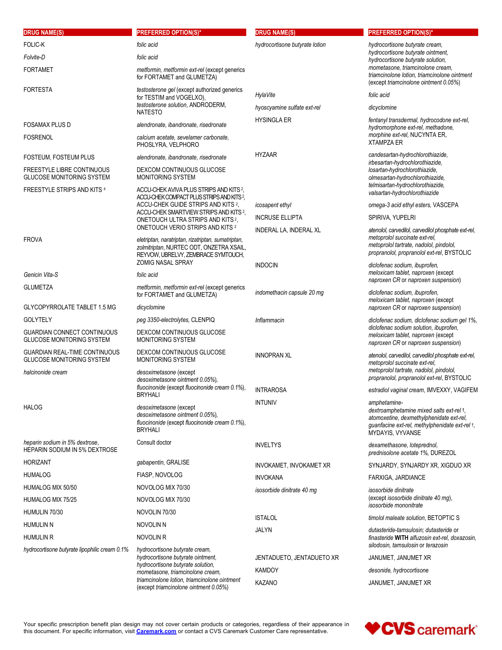| <b>DRUG NAME(S)</b>                                                                       | <b>PREFERRED OPTION(S)*</b>                                                                                                           | <b>DRUG NAME(S)</b>            | <b>PREFERRED OPTION(S)*</b>                                                                                                                                                |
|-------------------------------------------------------------------------------------------|---------------------------------------------------------------------------------------------------------------------------------------|--------------------------------|----------------------------------------------------------------------------------------------------------------------------------------------------------------------------|
| FOLIC-K                                                                                   | folic acid                                                                                                                            | hydrocortisone butyrate lotion | hydrocortisone butyrate cream.                                                                                                                                             |
| Folvite-D                                                                                 | folic acid                                                                                                                            |                                | hydrocortisone butyrate ointment,<br>hydrocortisone butyrate solution,                                                                                                     |
| FORTAMET                                                                                  | metformin, metformin ext-rel (except generics<br>for FORTAMET and GLUMETZA)                                                           |                                | mometasone, triamcinolone cream,<br>triamcinolone lotion, triamcinolone ointment<br>(except triamcinolone ointment 0.05%)                                                  |
| FORTESTA                                                                                  | testosterone gel (except authorized generics                                                                                          | HylaVite                       | folic acid                                                                                                                                                                 |
|                                                                                           | for TESTIM and VOGELXO),<br>testosterone solution, ANDRODERM,                                                                         | hyoscyamine sulfate ext-rel    | dicyclomine                                                                                                                                                                |
|                                                                                           | <b>NATESTO</b>                                                                                                                        | <b>HYSINGLA ER</b>             | fentanyl transdermal, hydrocodone ext-rel,                                                                                                                                 |
| FOSAMAX PLUS D<br>Fosrenol                                                                | alendronate, ibandronate, risedronate<br>calcium acetate, sevelamer carbonate,<br>PHOSLYRA, VELPHORO                                  |                                | hydromorphone ext-rel, methadone,<br>morphine ext-rel, NUCYNTA ER,<br><b>XTAMPZA ER</b>                                                                                    |
| FOSTEUM, FOSTEUM PLUS                                                                     | alendronate, ibandronate, risedronate                                                                                                 | <b>HYZAAR</b>                  | candesartan-hydrochlorothiazide,                                                                                                                                           |
| FREESTYLE LIBRE CONTINUOUS<br><b>GLUCOSE MONITORING SYSTEM</b>                            | DEXCOM CONTINUOUS GLUCOSE<br>MONITORING SYSTEM                                                                                        |                                | irbesartan-hydrochlorothiazide,<br>losartan-hydrochlorothiazide,<br>olmesartan-hydrochlorothiazide,                                                                        |
| FREESTYLE STRIPS AND KITS 4                                                               | ACCU-CHEK AVIVA PLUS STRIPS AND KITS <sup>2</sup> ,                                                                                   |                                | telmisartan-hydrochlorothiazide,<br>valsartan-hydrochlorothiazide                                                                                                          |
|                                                                                           | ACCU-CHEK COMPACT PLUS STRIPS AND KITS <sup>2</sup> ,<br>ACCU-CHEK GUIDE STRIPS AND KITS 2,                                           | icosapent ethyl                | omega-3 acid ethyl esters, VASCEPA                                                                                                                                         |
|                                                                                           | ACCU-CHEK SMARTVIEW STRIPS AND KITS <sup>2</sup> ,<br>ONETOUCH ULTRA STRIPS AND KITS <sup>2</sup> ,                                   | <b>INCRUSE ELLIPTA</b>         | SPIRIVA, YUPELRI                                                                                                                                                           |
|                                                                                           | ONETOUCH VERIO STRIPS AND KITS <sup>2</sup>                                                                                           | INDERAL LA, INDERAL XL         | atenolol, carvedilol, carvedilol phosphate ext-rel,                                                                                                                        |
| <b>FROVA</b>                                                                              | eletriptan, naratriptan, rizatriptan, sumatriptan,<br>zolmitriptan, NURTEC ODT, ONZETRA XSAIL,<br>REYVOW, UBRELVY, ZEMBRACE SYMTOUCH, |                                | metoprolol succinate ext-rel,<br>metoprolol tartrate, nadolol, pindolol,<br>propranolol, propranolol ext-rel, BYSTOLIC                                                     |
| Genicin Vita-S                                                                            | <b>ZOMIG NASAL SPRAY</b><br>folic acid                                                                                                | <b>INDOCIN</b>                 | diclofenac sodium, ibuprofen,<br>meloxicam tablet, naproxen (except                                                                                                        |
| <b>GLUMETZA</b>                                                                           | metformin, metformin ext-rel (except generics                                                                                         |                                | naproxen CR or naproxen suspension)                                                                                                                                        |
|                                                                                           | for FORTAMET and GLUMETZA)                                                                                                            | indomethacin capsule 20 mq     | diclofenac sodium, ibuprofen,<br>meloxicam tablet, naproxen (except                                                                                                        |
| GLYCOPYRROLATE TABLET 1.5 MG                                                              | dicyclomine                                                                                                                           |                                | naproxen CR or naproxen suspension)                                                                                                                                        |
| <b>GOLYTELY</b>                                                                           | peg 3350-electrolytes, CLENPIQ                                                                                                        | Inflammacin                    | diclofenac sodium, diclofenac sodium gel 1%,<br>diclofenac sodium solution, ibuprofen,                                                                                     |
| GUARDIAN CONNECT CONTINUOUS<br>GLUCOSE MONITORING SYSTEM<br>GUARDIAN REAL-TIME CONTINUOUS | DEXCOM CONTINUOUS GLUCOSE<br>MONITORING SYSTEM<br>DEXCOM CONTINUOUS GLUCOSE                                                           |                                | meloxicam tablet, naproxen (except<br>naproxen CR or naproxen suspension)                                                                                                  |
| GLUCOSE MONITORING SYSTEM<br>halcinonide cream                                            | MONITORING SYSTEM<br>desoximetasone (except                                                                                           | <b>INNOPRAN XL</b>             | atenolol, carvedilol, carvedilol phosphate ext-rel,<br>metoprolol succinate ext-rel,<br>metoprolol tartrate, nadolol, pindolol,                                            |
|                                                                                           | desoximetasone ointment 0.05%),<br>fluocinonide (except fluocinonide cream 0.1%),                                                     |                                | propranolol, propranolol ext-rel, BYSTOLIC                                                                                                                                 |
|                                                                                           | <b>BRYHALI</b>                                                                                                                        | <b>INTRAROSA</b>               | estradiol vaginal cream, IMVEXXY, VAGIFEM                                                                                                                                  |
| <b>HALOG</b>                                                                              | desoximetasone (except<br>desoximetasone ointment 0.05%),<br>fluocinonide (except fluocinonide cream 0.1%),<br><b>BRYHALI</b>         | <b>INTUNIV</b>                 | amphetamine-<br>dextroamphetamine mixed salts ext-rel +,<br>atomoxetine, dexmethylphenidate ext-rel,<br>guanfacine ext-rel, methylphenidate ext-rel +,<br>MYDAYIS, VYVANSE |
| heparin sodium in 5% dextrose,<br>HEPARIN SODIUM IN 5% DEXTROSE                           | Consult doctor                                                                                                                        | <b>INVELTYS</b>                | dexamethasone, loteprednol,<br>prednisolone acetate 1%, DUREZOL                                                                                                            |
| HORIZANT                                                                                  | gabapentin, GRALISE                                                                                                                   | INVOKAMET, INVOKAMET XR        | SYNJARDY, SYNJARDY XR, XIGDUO XR                                                                                                                                           |
| HUMALOG                                                                                   | FIASP, NOVOLOG                                                                                                                        | <b>INVOKANA</b>                | FARXIGA, JARDIANCE                                                                                                                                                         |
| HUMALOG MIX 50/50                                                                         | NOVOLOG MIX 70/30                                                                                                                     | isosorbide dinitrate 40 mg     | isosorbide dinitrate<br>(except isosorbide dinitrate 40 mg),                                                                                                               |
| HUMALOG MIX 75/25                                                                         | NOVOLOG MIX 70/30                                                                                                                     |                                | isosorbide mononitrate                                                                                                                                                     |
| HUMULIN 70/30                                                                             | NOVOLIN 70/30                                                                                                                         | <b>ISTALOL</b>                 | timolol maleate solution, BETOPTIC S                                                                                                                                       |
| humulin n                                                                                 | NOVOLIN N<br>NOVOLIN <sub>R</sub>                                                                                                     | JALYN                          | dutasteride-tamsulosin; dutasteride or                                                                                                                                     |
| humulin R<br>hydrocortisone butyrate lipophilic cream 0.1%                                | hydrocortisone butyrate cream,<br>hydrocortisone butyrate ointment,                                                                   | JENTADUETO, JENTADUETO XR      | finasteride WITH alfuzosin ext-rel, doxazosin,<br>silodosin, tamsulosin or terazosin<br>JANUMET, JANUMET XR                                                                |
|                                                                                           | hydrocortisone butyrate solution,                                                                                                     | <b>KAMDOY</b>                  | desonide, hydrocortisone                                                                                                                                                   |
|                                                                                           | mometasone, triamcinolone cream,<br>triamcinolone lotion, triamcinolone ointment                                                      | KAZANO                         | JANUMET, JANUMET XR                                                                                                                                                        |

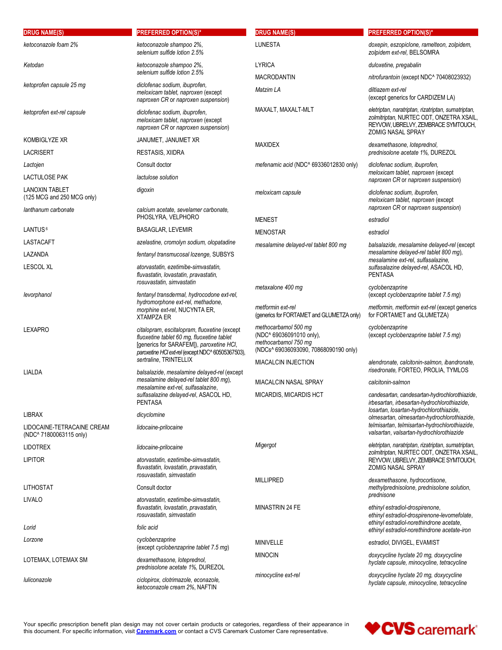| <b>DRUG NAME(S)</b><br>ketoconazole foam 2%  | <b>PREFERRED OPTION(S)*</b><br>ketoconazole shampoo 2%,                                                                                                                                     | <b>DRUG NAME(S)</b><br><b>LUNESTA</b>                                                                             | <b>PREFERRED OPTION(S)*</b><br>doxepin, eszopiclone, ramelteon, zolpidem,                                                                                         |
|----------------------------------------------|---------------------------------------------------------------------------------------------------------------------------------------------------------------------------------------------|-------------------------------------------------------------------------------------------------------------------|-------------------------------------------------------------------------------------------------------------------------------------------------------------------|
|                                              | selenium sulfide lotion 2.5%                                                                                                                                                                |                                                                                                                   | zolpidem ext-rel, BELSOMRA                                                                                                                                        |
| Ketodan                                      | ketoconazole shampoo 2%,<br>selenium sulfide lotion 2.5%                                                                                                                                    | <b>LYRICA</b>                                                                                                     | duloxetine, pregabalin                                                                                                                                            |
| ketoprofen capsule 25 mg                     | diclofenac sodium, ibuprofen,<br>meloxicam tablet, naproxen (except                                                                                                                         | <b>MACRODANTIN</b><br>Matzim LA                                                                                   | nitrofurantoin (except NDC^ 70408023932)<br>diltiazem ext-rel<br>(except generics for CARDIZEM LA)                                                                |
| ketoprofen ext-rel capsule                   | naproxen CR or naproxen suspension)<br>diclofenac sodium, ibuprofen,<br>meloxicam tablet, naproxen (except<br>naproxen CR or naproxen suspension)                                           | MAXALT, MAXALT-MLT                                                                                                | eletriptan, naratriptan, rizatriptan, sumatriptan,<br>zolmitriptan, NURTEC ODT, ONZETRA XSAIL,<br>REYVOW, UBRELVY, ZEMBRACE SYMTOUCH,<br><b>ZOMIG NASAL SPRAY</b> |
| <b>KOMBIGLYZE XR</b>                         | JANUMET, JANUMET XR                                                                                                                                                                         | <b>MAXIDEX</b>                                                                                                    | dexamethasone, loteprednol,                                                                                                                                       |
| <b>LACRISERT</b>                             | RESTASIS, XIIDRA                                                                                                                                                                            |                                                                                                                   | prednisolone acetate 1%, DUREZOL                                                                                                                                  |
| Lactojen                                     | Consult doctor                                                                                                                                                                              | mefenamic acid (NDC^ 69336012830 only)                                                                            | diclofenac sodium, ibuprofen,<br>meloxicam tablet, naproxen (except                                                                                               |
| <b>LACTULOSE PAK</b>                         | lactulose solution                                                                                                                                                                          |                                                                                                                   | naproxen CR or naproxen suspension)                                                                                                                               |
| LANOXIN TABLET<br>(125 MCG and 250 MCG only) | digoxin<br>calcium acetate, sevelamer carbonate,                                                                                                                                            | meloxicam capsule                                                                                                 | diclofenac sodium, ibuprofen,<br>meloxicam tablet, naproxen (except<br>naproxen CR or naproxen suspension)                                                        |
| lanthanum carbonate                          | PHOSLYRA, VELPHORO                                                                                                                                                                          | <b>MENEST</b>                                                                                                     | estradiol                                                                                                                                                         |
| LANTUS <sup>6</sup>                          | <b>BASAGLAR, LEVEMIR</b>                                                                                                                                                                    | <b>MENOSTAR</b>                                                                                                   | estradiol                                                                                                                                                         |
| LASTACAFT                                    | azelastine, cromolyn sodium, olopatadine                                                                                                                                                    | mesalamine delayed-rel tablet 800 mg                                                                              | balsalazide, mesalamine delayed-rel (except                                                                                                                       |
| LAZANDA<br><b>LESCOL XL</b>                  | fentanyl transmucosal lozenge, SUBSYS<br>atorvastatin, ezetimibe-simvastatin,<br>fluvastatin, lovastatin, pravastatin,<br>rosuvastatin, simvastatin                                         |                                                                                                                   | mesalamine delayed-rel tablet 800 mg).<br>mesalamine ext-rel, sulfasalazine,<br>sulfasalazine delayed-rel, ASACOL HD,<br><b>PENTASA</b>                           |
| levorphanol                                  | fentanyl transdermal, hydrocodone ext-rel,                                                                                                                                                  | metaxalone 400 mq                                                                                                 | cyclobenzaprine<br>(except cyclobenzaprine tablet 7.5 mg)                                                                                                         |
|                                              | hydromorphone ext-rel, methadone,<br>morphine ext-rel, NUCYNTA ER,<br><b>XTAMPZA ER</b>                                                                                                     | metformin ext-rel<br>(generics for FORTAMET and GLUMETZA only)                                                    | metformin, metformin ext-rel (except generics<br>for FORTAMET and GLUMETZA)                                                                                       |
| <b>LEXAPRO</b>                               | citalopram, escitalopram, fluoxetine (except<br>fluoxetine tablet 60 mg, fluoxetine tablet<br>[generics for SARAFEM]), paroxetine HCI,<br>paroxetine HCl ext-rel (except NDC^ 60505367503), | methocarbamol 500 mg<br>(NDC^ 69036091010 only),<br>methocarbamol 750 mg<br>(NDCs^ 69036093090, 70868090190 only) | cyclobenzaprine<br>(except cyclobenzaprine tablet 7.5 mg)                                                                                                         |
|                                              | sertraline, TRINTELLIX                                                                                                                                                                      | <b>MIACALCIN INJECTION</b>                                                                                        | alendronate, calcitonin-salmon, ibandronate,<br>risedronate, FORTEO, PROLIA, TYMLOS                                                                               |
| LIALDA                                       | balsalazide, mesalamine delayed-rel (except<br>mesalamine delayed-rel tablet 800 mg),                                                                                                       | MIACALCIN NASAL SPRAY                                                                                             | calcitonin-salmon                                                                                                                                                 |
|                                              | mesalamine ext-rel, sulfasalazine,<br>sulfasalazine delayed-rel, ASACOL HD,                                                                                                                 | MICARDIS, MICARDIS HCT                                                                                            | candesartan, candesartan-hydrochlorothiazide,                                                                                                                     |
|                                              | <b>PENTASA</b>                                                                                                                                                                              |                                                                                                                   | irbesartan, irbesartan-hydrochlorothiazide,<br>losartan, losartan-hydrochlorothiazide,                                                                            |
| LIBRAX<br>LIDOCAINE-TETRACAINE CREAM         | dicyclomine<br>lidocaine-prilocaine                                                                                                                                                         |                                                                                                                   | olmesartan, olmesartan-hydrochlorothiazide,<br>telmisartan, telmisartan-hydrochlorothiazide,<br>valsartan, valsartan-hydrochlorothiazide                          |
| (NDC^ 71800063115 only)<br><b>LIDOTREX</b>   | lidocaine-prilocaine                                                                                                                                                                        | Migergot                                                                                                          | eletriptan, naratriptan, rizatriptan, sumatriptan,                                                                                                                |
| <b>LIPITOR</b>                               | atorvastatin, ezetimibe-simvastatin,<br>fluvastatin, lovastatin, pravastatin,                                                                                                               |                                                                                                                   | zolmitriptan, NURTEC ODT, ONZETRA XSAIL,<br>REYVOW, UBRELVY, ZEMBRACE SYMTOUCH,<br>ZOMIG NASAL SPRAY                                                              |
| <b>LITHOSTAT</b>                             | rosuvastatin, simvastatin<br>Consult doctor                                                                                                                                                 | <b>MILLIPRED</b>                                                                                                  | dexamethasone, hydrocortisone,<br>methylprednisolone, prednisolone solution,                                                                                      |
| LIVALO                                       | atorvastatin, ezetimibe-simvastatin,<br>fluvastatin, lovastatin, pravastatin,<br>rosuvastatin, simvastatin                                                                                  | MINASTRIN 24 FE                                                                                                   | prednisone<br>ethinyl estradiol-drospirenone,<br>ethinyl estradiol-drospirenone-levomefolate,                                                                     |
| Lorid                                        | folic acid                                                                                                                                                                                  |                                                                                                                   | ethinyl estradiol-norethindrone acetate,<br>ethinyl estradiol-norethindrone acetate-iron                                                                          |
| Lorzone                                      | cyclobenzaprine<br>(except cyclobenzaprine tablet 7.5 mg)                                                                                                                                   | MINIVELLE                                                                                                         | estradiol, DIVIGEL, EVAMIST                                                                                                                                       |
|                                              |                                                                                                                                                                                             | <b>MINOCIN</b>                                                                                                    | doxycycline hyclate 20 mg, doxycycline                                                                                                                            |
| LOTEMAX, LOTEMAX SM                          | dexamethasone, loteprednol,<br>prednisolone acetate 1%, DUREZOL                                                                                                                             |                                                                                                                   | hyclate capsule, minocycline, tetracycline                                                                                                                        |

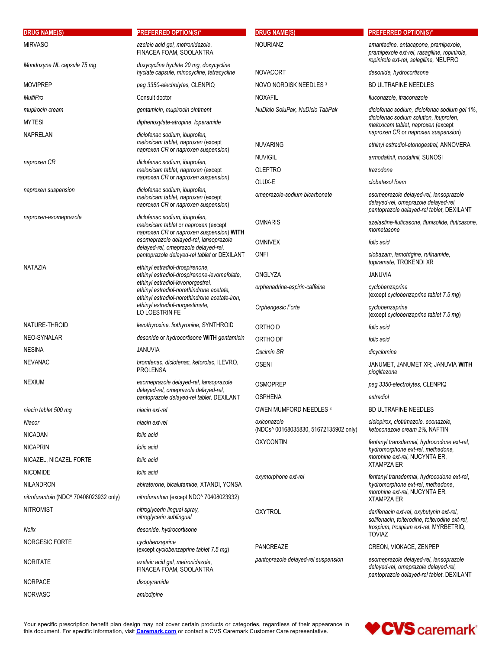| <b>DRUG NAME(S)</b>                                        | <b>PREFERRED OPTION(S)*</b>                                                                                                  | <b>DRUG NAME(S)</b>                                  | <b>PREFERRED OPTION(S)*</b>                                                                                                    |
|------------------------------------------------------------|------------------------------------------------------------------------------------------------------------------------------|------------------------------------------------------|--------------------------------------------------------------------------------------------------------------------------------|
| <b>MIRVASO</b>                                             | azelaic acid gel, metronidazole,<br>FINACEA FOAM, SOOLANTRA                                                                  | <b>NOURIANZ</b>                                      | amantadine, entacapone, pramipexole,<br>pramipexole ext-rel, rasagiline, ropinirole,<br>ropinirole ext-rel, selegiline, NEUPRO |
| Mondoxyne NL capsule 75 mg                                 | doxycycline hyclate 20 mg, doxycycline<br>hyclate capsule, minocycline, tetracycline                                         | <b>NOVACORT</b>                                      | desonide, hydrocortisone                                                                                                       |
| <b>MOVIPREP</b>                                            | peg 3350-electrolytes, CLENPIQ                                                                                               | NOVO NORDISK NEEDLES 3                               | <b>BD ULTRAFINE NEEDLES</b>                                                                                                    |
| <b>MultiPro</b>                                            | Consult doctor                                                                                                               | <b>NOXAFIL</b>                                       | fluconazole, itraconazole                                                                                                      |
| mupirocin cream                                            | gentamicin, mupirocin ointment                                                                                               | NuDiclo SoluPak, NuDiclo TabPak                      | diclofenac sodium, diclofenac sodium gel 1%,                                                                                   |
| <b>MYTESI</b><br><b>NAPRELAN</b>                           | diphenoxylate-atropine, loperamide                                                                                           |                                                      | diclofenac sodium solution, ibuprofen,<br>meloxicam tablet, naproxen (except<br>naproxen CR or naproxen suspension)            |
|                                                            | diclofenac sodium, ibuprofen,<br>meloxicam tablet, naproxen (except                                                          | <b>NUVARING</b>                                      | ethinyl estradiol-etonogestrel, ANNOVERA                                                                                       |
|                                                            | naproxen CR or naproxen suspension)                                                                                          | <b>NUVIGIL</b>                                       | armodafinil, modafinil, SUNOSI                                                                                                 |
| naproxen CR                                                | diclofenac sodium, ibuprofen,<br>meloxicam tablet, naproxen (except                                                          | <b>OLEPTRO</b>                                       | trazodone                                                                                                                      |
|                                                            | naproxen CR or naproxen suspension)                                                                                          | OLUX-E                                               | clobetasol foam                                                                                                                |
| naproxen suspension                                        | diclofenac sodium, ibuprofen,<br>meloxicam tablet, naproxen (except<br>naproxen CR or naproxen suspension)                   | omeprazole-sodium bicarbonate                        | esomeprazole delayed-rel, lansoprazole<br>delayed-rel, omeprazole delayed-rel,<br>pantoprazole delayed-rel tablet, DEXILANT    |
| naproxen-esomeprazole                                      | diclofenac sodium, ibuprofen,<br>meloxicam tablet or naproxen (except<br>naproxen CR or naproxen suspension) WITH            | <b>OMNARIS</b>                                       | azelastine-fluticasone, flunisolide, fluticasone,<br>mometasone                                                                |
|                                                            | esomeprazole delayed-rel, lansoprazole<br>delayed-rel, omeprazole delayed-rel,                                               | <b>OMNIVEX</b>                                       | folic acid                                                                                                                     |
|                                                            | pantoprazole delayed-rel tablet or DEXILANT                                                                                  | ONFI                                                 | clobazam, lamotrigine, rufinamide,                                                                                             |
| NATAZIA                                                    | ethinyl estradiol-drospirenone,<br>ethinyl estradiol-drospirenone-levomefolate.                                              | ONGLYZA                                              | topiramate, TROKENDI XR<br>JANUVIA                                                                                             |
|                                                            | ethinyl estradiol-levonorgestrel,                                                                                            | orphenadrine-aspirin-caffeine                        | cyclobenzaprine                                                                                                                |
|                                                            | ethinyl estradiol-norethindrone acetate,<br>ethinyl estradiol-norethindrone acetate-iron,<br>ethinyl estradiol-norgestimate, | Orphengesic Forte                                    | (except cyclobenzaprine tablet 7.5 mg)<br>cyclobenzaprine                                                                      |
|                                                            | LO LOESTRIN FE                                                                                                               |                                                      | (except cyclobenzaprine tablet 7.5 mg)                                                                                         |
| NATURE-THROID                                              | levothyroxine, liothyronine, SYNTHROID                                                                                       | ORTHO D                                              | folic acid                                                                                                                     |
| NEO-SYNALAR                                                | desonide or hydrocortisone WITH gentamicin                                                                                   | ORTHO DF                                             | folic acid                                                                                                                     |
| <b>NESINA</b>                                              | <b>JANUVIA</b>                                                                                                               | Oscimin SR                                           | dicyclomine                                                                                                                    |
| <b>NEVANAC</b>                                             | bromfenac, diclofenac, ketorolac, ILEVRO,<br><b>PROLENSA</b>                                                                 | <b>OSENI</b>                                         | JANUMET, JANUMET XR; JANUVIA WITH<br>pioglitazone                                                                              |
| <b>NEXIUM</b>                                              | esomeprazole delayed-rel, lansoprazole<br>delayed-rel, omeprazole delayed-rel,                                               | <b>OSMOPREP</b>                                      | peg 3350-electrolytes, CLENPIQ                                                                                                 |
|                                                            | pantoprazole delayed-rel tablet, DEXILANT                                                                                    | <b>OSPHENA</b>                                       | estradiol                                                                                                                      |
| niacin tablet 500 mg                                       | niacin ext-rel                                                                                                               | OWEN MUMFORD NEEDLES 3                               | BD ULTRAFINE NEEDLES                                                                                                           |
| Niacor                                                     | niacin ext-rel                                                                                                               | oxiconazole<br>(NDCs^ 00168035830, 51672135902 only) | ciclopirox, clotrimazole, econazole,<br>ketoconazole cream 2%, NAFTIN                                                          |
| <b>NICADAN</b>                                             | folic acid                                                                                                                   | <b>OXYCONTIN</b>                                     | fentanyl transdermal, hydrocodone ext-rel,                                                                                     |
| <b>NICAPRIN</b>                                            | folic acid                                                                                                                   |                                                      | hydromorphone ext-rel, methadone,<br>morphine ext-rel, NUCYNTA ER,                                                             |
| NICAZEL, NICAZEL FORTE                                     | folic acid                                                                                                                   |                                                      | <b>XTAMPZA ER</b>                                                                                                              |
| <b>NICOMIDE</b>                                            | folic acid                                                                                                                   | oxymorphone ext-rel                                  | fentanyl transdermal, hydrocodone ext-rel,                                                                                     |
| NILANDRON                                                  | abiraterone, bicalutamide, XTANDI, YONSA                                                                                     |                                                      | hydromorphone ext-rel, methadone,<br>morphine ext-rel, NUCYNTA ER,                                                             |
| nitrofurantoin (NDC^ 70408023932 only)<br><b>NITROMIST</b> | nitrofurantoin (except NDC^ 70408023932)<br>nitroglycerin lingual spray,<br>nitroglycerin sublingual                         | <b>OXYTROL</b>                                       | <b>XTAMPZA ER</b><br>darifenacin ext-rel, oxybutynin ext-rel,                                                                  |
| Nolix                                                      | desonide, hydrocortisone                                                                                                     |                                                      | solifenacin, tolterodine, tolterodine ext-rel,<br>trospium, trospium ext-rel, MYRBETRIQ,                                       |
| NORGESIC FORTE                                             | cyclobenzaprine                                                                                                              |                                                      | <b>TOVIAZ</b>                                                                                                                  |
| <b>NORITATE</b>                                            | (except cyclobenzaprine tablet 7.5 mg)<br>azelaic acid gel, metronidazole,                                                   | PANCREAZE<br>pantoprazole delayed-rel suspension     | CREON, VIOKACE, ZENPEP<br>esomeprazole delayed-rel, lansoprazole                                                               |
| <b>NORPACE</b>                                             | FINACEA FOAM, SOOLANTRA<br>disopyramide                                                                                      |                                                      | delayed-rel, omeprazole delayed-rel,<br>pantoprazole delayed-rel tablet, DEXILANT                                              |
| <b>NORVASC</b>                                             | amlodipine                                                                                                                   |                                                      |                                                                                                                                |
|                                                            |                                                                                                                              |                                                      |                                                                                                                                |

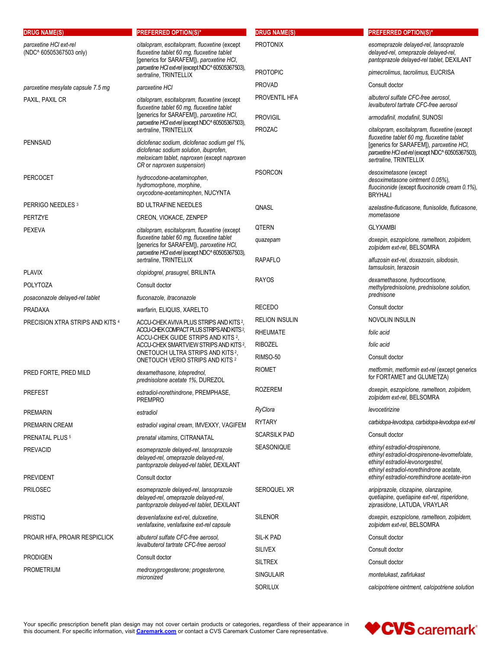| <b>DRUG NAME(S)</b>                    | <b>PREFERRED OPTION(S)*</b>                                                                                                                                                                   | <b>DRUG NAME(S)</b>      | <b>PREFERRED OPTION(S)*</b>                                                                                                                                                                                           |
|----------------------------------------|-----------------------------------------------------------------------------------------------------------------------------------------------------------------------------------------------|--------------------------|-----------------------------------------------------------------------------------------------------------------------------------------------------------------------------------------------------------------------|
| paroxetine HCI ext-rel                 | citalopram, escitalopram, fluoxetine (except                                                                                                                                                  | <b>PROTONIX</b>          | esomeprazole delayed-rel, lansoprazole                                                                                                                                                                                |
| (NDC^ 60505367503 only)                | fluoxetine tablet 60 mg, fluoxetine tablet<br>[generics for SARAFEM]), paroxetine HCI,<br>paroxetine HCl ext-rel (except NDC^60505367503),                                                    |                          | delayed-rel, omeprazole delayed-rel,<br>pantoprazole delayed-rel tablet, DEXILANT                                                                                                                                     |
|                                        | sertraline, TRINTELLIX                                                                                                                                                                        | <b>PROTOPIC</b>          | pimecrolimus, tacrolimus, EUCRISA                                                                                                                                                                                     |
| paroxetine mesylate capsule 7.5 mg     | paroxetine HCI                                                                                                                                                                                | <b>PROVAD</b>            | Consult doctor                                                                                                                                                                                                        |
| PAXIL, PAXIL CR                        | citalopram, escitalopram, fluoxetine (except<br>fluoxetine tablet 60 mg, fluoxetine tablet                                                                                                    | PROVENTIL HFA            | albuterol sulfate CFC-free aerosol,<br>levalbuterol tartrate CFC-free aerosol                                                                                                                                         |
|                                        | [generics for SARAFEM]), paroxetine HCI,<br>paroxetine HCl ext-rel (except NDC^ 60505367503),                                                                                                 | <b>PROVIGIL</b>          | armodafinil, modafinil, SUNOSI                                                                                                                                                                                        |
| <b>PENNSAID</b>                        | sertraline, TRINTELLIX<br>diclofenac sodium, diclofenac sodium gel 1%,<br>diclofenac sodium solution, ibuprofen,<br>meloxicam tablet, naproxen (except naproxen<br>CR or naproxen suspension) | <b>PROZAC</b>            | citalopram, escitalopram, fluoxetine (except<br>fluoxetine tablet 60 mg, fluoxetine tablet<br>[generics for SARAFEM]), paroxetine HCl,<br>paroxetine HCl ext-rel (except NDC^ 60505367503),<br>sertraline, TRINTELLIX |
| <b>PERCOCET</b>                        | hydrocodone-acetaminophen,<br>hydromorphone, morphine,<br>oxycodone-acetaminophen, NUCYNTA                                                                                                    | <b>PSORCON</b>           | desoximetasone (except<br>desoximetasone ointment 0.05%),<br>fluocinonide (except fluocinonide cream 0.1%),<br><b>BRYHALI</b>                                                                                         |
| PERRIGO NEEDLES <sup>3</sup>           | <b>BD ULTRAFINE NEEDLES</b>                                                                                                                                                                   | QNASL                    | azelastine-fluticasone, flunisolide, fluticasone,                                                                                                                                                                     |
| PERTZYE                                | CREON, VIOKACE, ZENPEP                                                                                                                                                                        |                          | mometasone                                                                                                                                                                                                            |
| <b>PEXEVA</b>                          | citalopram, escitalopram, fluoxetine (except<br>fluoxetine tablet 60 mg, fluoxetine tablet<br>[generics for SARAFEM]), paroxetine HCI,                                                        | <b>QTERN</b><br>quazepam | <b>GLYXAMBI</b><br>doxepin, eszopiclone, ramelteon, zolpidem,<br>zolpidem ext-rel, BELSOMRA                                                                                                                           |
|                                        | paroxetine HCl ext-rel (except NDC^60505367503),<br>sertraline, TRINTELLIX                                                                                                                    | <b>RAPAFLO</b>           | alfuzosin ext-rel, doxazosin, silodosin,<br>tamsulosin, terazosin                                                                                                                                                     |
| <b>PLAVIX</b>                          | clopidogrel, prasugrel, BRILINTA                                                                                                                                                              | <b>RAYOS</b>             | dexamethasone, hydrocortisone,                                                                                                                                                                                        |
| <b>POLYTOZA</b>                        | Consult doctor                                                                                                                                                                                |                          | methylprednisolone, prednisolone solution,<br>prednisone                                                                                                                                                              |
| posaconazole delayed-rel tablet        | fluconazole, itraconazole                                                                                                                                                                     | <b>RECEDO</b>            | Consult doctor                                                                                                                                                                                                        |
| <b>PRADAXA</b>                         | warfarin, ELIQUIS, XARELTO                                                                                                                                                                    | <b>RELION INSULIN</b>    | NOVOLIN INSULIN                                                                                                                                                                                                       |
| PRECISION XTRA STRIPS AND KITS 4       | ACCU-CHEK AVIVA PLUS STRIPS AND KITS 2,<br>ACCU-CHEK COMPACT PLUS STRIPS AND KITS 2,                                                                                                          | <b>RHEUMATE</b>          | folic acid                                                                                                                                                                                                            |
|                                        | ACCU-CHEK GUIDE STRIPS AND KITS 2,<br>ACCU-CHEK SMARTVIEW STRIPS AND KITS 2,                                                                                                                  | <b>RIBOZEL</b>           | folic acid                                                                                                                                                                                                            |
|                                        | ONETOUCH ULTRA STRIPS AND KITS <sup>2</sup> ,                                                                                                                                                 | RIMSO-50                 | Consult doctor                                                                                                                                                                                                        |
|                                        | ONETOUCH VERIO STRIPS AND KITS <sup>2</sup>                                                                                                                                                   | <b>RIOMET</b>            | metformin, metformin ext-rel (except generics                                                                                                                                                                         |
| PRED FORTE, PRED MILD                  | dexamethasone, loteprednol,<br>prednisolone acetate 1%, DUREZOL                                                                                                                               | <b>ROZEREM</b>           | for FORTAMET and GLUMETZA)<br>doxepin, eszopiclone, ramelteon, zolpidem,                                                                                                                                              |
| <b>PREFEST</b>                         | estradiol-norethindrone, PREMPHASE,<br><b>PREMPRO</b>                                                                                                                                         | RyClora                  | zolpidem ext-rel, BELSOMRA<br>levocetirizine                                                                                                                                                                          |
| <b>PREMARIN</b>                        | estradiol                                                                                                                                                                                     | <b>RYTARY</b>            | carbidopa-levodopa, carbidopa-levodopa ext-rel                                                                                                                                                                        |
| PREMARIN CREAM                         | estradiol vaginal cream, IMVEXXY, VAGIFEM                                                                                                                                                     | <b>SCARSILK PAD</b>      | Consult doctor                                                                                                                                                                                                        |
| PRENATAL PLUS <sup>5</sup><br>PREVACID | prenatal vitamins, CITRANATAL<br>esomeprazole delayed-rel, lansoprazole<br>delayed-rel, omeprazole delayed-rel,<br>pantoprazole delayed-rel tablet, DEXILANT                                  | SEASONIQUE               | ethinyl estradiol-drospirenone,<br>ethinyl estradiol-drospirenone-levomefolate,<br>ethinyl estradiol-levonorgestrel,                                                                                                  |
| <b>PREVIDENT</b>                       | Consult doctor                                                                                                                                                                                |                          | ethinyl estradiol-norethindrone acetate,<br>ethinyl estradiol-norethindrone acetate-iron                                                                                                                              |
| <b>PRILOSEC</b>                        | esomeprazole delayed-rel, lansoprazole<br>delayed-rel, omeprazole delayed-rel,<br>pantoprazole delayed-rel tablet, DEXILANT                                                                   | <b>SEROQUEL XR</b>       | aripiprazole, clozapine, olanzapine,<br>quetiapine, quetiapine ext-rel, risperidone,<br>ziprasidone, LATUDA, VRAYLAR                                                                                                  |
| <b>PRISTIQ</b>                         | desvenlafaxine ext-rel, duloxetine,<br>venlafaxine, venlafaxine ext-rel capsule                                                                                                               | <b>SILENOR</b>           | doxepin, eszopiclone, ramelteon, zolpidem,<br>zolpidem ext-rel, BELSOMRA                                                                                                                                              |
| PROAIR HFA, PROAIR RESPICLICK          | albuterol sulfate CFC-free aerosol.                                                                                                                                                           | SIL-K PAD                | Consult doctor                                                                                                                                                                                                        |
|                                        | levalbuterol tartrate CFC-free aerosol                                                                                                                                                        | <b>SILIVEX</b>           | Consult doctor                                                                                                                                                                                                        |
| <b>PRODIGEN</b>                        | Consult doctor                                                                                                                                                                                | <b>SILTREX</b>           | Consult doctor                                                                                                                                                                                                        |
| <b>PROMETRIUM</b>                      | medroxyprogesterone; progesterone,<br>micronized                                                                                                                                              | <b>SINGULAIR</b>         | montelukast, zafirlukast                                                                                                                                                                                              |
|                                        |                                                                                                                                                                                               | SORILUX                  | calcipotriene ointment, calcipotriene solution                                                                                                                                                                        |

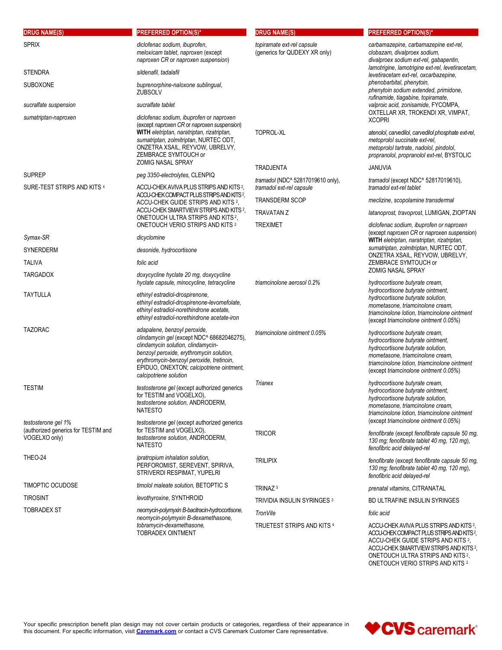| <b>DRUG NAME(S)</b>                                                                                          | <b>PREFERRED OPTION(S)*</b>                                                                                                                                                                                                                                                     | <b>DRUG NAME(S)</b>                                           | <b>PREFERRED OPTION(S)*</b>                                                                                                                                                                                                           |
|--------------------------------------------------------------------------------------------------------------|---------------------------------------------------------------------------------------------------------------------------------------------------------------------------------------------------------------------------------------------------------------------------------|---------------------------------------------------------------|---------------------------------------------------------------------------------------------------------------------------------------------------------------------------------------------------------------------------------------|
| <b>SPRIX</b>                                                                                                 | diclofenac sodium, ibuprofen,<br>meloxicam tablet, naproxen (except<br>naproxen CR or naproxen suspension)                                                                                                                                                                      | topiramate ext-rel capsule<br>(generics for QUDEXY XR only)   | carbamazepine, carbamazepine ext-rel.<br>clobazam, divalproex sodium,<br>divalproex sodium ext-rel, gabapentin,                                                                                                                       |
| <b>STENDRA</b>                                                                                               | sildenafil, tadalafil                                                                                                                                                                                                                                                           |                                                               | lamotrigine, lamotrigine ext-rel, levetiracetam,<br>levetiracetam ext-rel, oxcarbazepine,                                                                                                                                             |
| SUBOXONE                                                                                                     | buprenorphine-naloxone sublingual,<br>ZUBSOLV                                                                                                                                                                                                                                   |                                                               | phenobarbital, phenytoin,<br>phenytoin sodium extended, primidone,<br>rufinamide, tiagabine, topiramate,                                                                                                                              |
| sucralfate suspension                                                                                        | sucralfate tablet                                                                                                                                                                                                                                                               |                                                               | valproic acid, zonisamide, FYCOMPA,                                                                                                                                                                                                   |
| sumatriptan-naproxen                                                                                         | diclofenac sodium, ibuprofen or naproxen<br>(except naproxen CR or naproxen suspension)<br>WITH eletriptan, naratriptan, rizatriptan,<br>sumatriptan, zolmitriptan, NURTEC ODT,<br>ONZETRA XSAIL, REYVOW, UBRELVY,<br>ZEMBRACE SYMTOUCH or<br><b>ZOMIG NASAL SPRAY</b>          | TOPROL-XL                                                     | OXTELLAR XR, TROKENDI XR, VIMPAT,<br><b>XCOPRI</b><br>atenolol, carvedilol, carvedilol phosphate ext-rel,<br>metoprolol succinate ext-rel,<br>metoprolol tartrate, nadolol, pindolol,<br>propranolol, propranolol ext-rel, BYSTOLIC   |
| <b>SUPREP</b>                                                                                                | peg 3350-electrolytes, CLENPIQ                                                                                                                                                                                                                                                  | <b>TRADJENTA</b>                                              | <b>JANUVIA</b>                                                                                                                                                                                                                        |
| SURE-TEST STRIPS AND KITS 4<br>ACCU-CHEK COMPACT PLUS STRIPS AND KITS?<br>ACCU-CHEK GUIDE STRIPS AND KITS 2. | ACCU-CHEK AVIVA PLUS STRIPS AND KITS <sup>2</sup> .                                                                                                                                                                                                                             | tramadol (NDC^ 52817019610 only),<br>tramadol ext-rel capsule | tramadol (except NDC^ 52817019610),<br>tramadol ext-rel tablet                                                                                                                                                                        |
|                                                                                                              |                                                                                                                                                                                                                                                                                 | <b>TRANSDERM SCOP</b>                                         | meclizine, scopolamine transdermal                                                                                                                                                                                                    |
|                                                                                                              | ACCU-CHEK SMARTVIEW STRIPS AND KITS <sup>2</sup> ,<br>ONETOUCH ULTRA STRIPS AND KITS <sup>2</sup> ,<br>ONETOUCH VERIO STRIPS AND KITS 2                                                                                                                                         | <b>TRAVATAN Z</b><br><b>TREXIMET</b>                          | latanoprost, travoprost, LUMIGAN, ZIOPTAN<br>diclofenac sodium, ibuprofen or naproxen                                                                                                                                                 |
| Symax-SR                                                                                                     | dicyclomine                                                                                                                                                                                                                                                                     |                                                               | (except naproxen CR or naproxen suspension)<br>WITH eletriptan, naratriptan, rizatriptan,                                                                                                                                             |
| SYNERDERM                                                                                                    | desonide, hydrocortisone                                                                                                                                                                                                                                                        |                                                               | sumatriptan, zolmitriptan, NURTEC ODT,                                                                                                                                                                                                |
| <b>TALIVA</b>                                                                                                | folic acid                                                                                                                                                                                                                                                                      |                                                               | ONZETRA XSAIL, REYVOW, UBRELVY,<br>ZEMBRACE SYMTOUCH or                                                                                                                                                                               |
| <b>TARGADOX</b>                                                                                              | doxycycline hyclate 20 mg, doxycycline<br>hyclate capsule, minocycline, tetracycline                                                                                                                                                                                            | triamcinolone aerosol 0.2%                                    | <b>ZOMIG NASAL SPRAY</b><br>hydrocortisone butyrate cream,                                                                                                                                                                            |
| <b>TAYTULLA</b>                                                                                              | ethinyl estradiol-drospirenone,<br>ethinyl estradiol-drospirenone-levomefolate,<br>ethinyl estradiol-norethindrone acetate,<br>ethinyl estradiol-norethindrone acetate-iron                                                                                                     |                                                               | hydrocortisone butyrate ointment.<br>hydrocortisone butyrate solution,<br>mometasone, triamcinolone cream,<br>triamcinolone lotion, triamcinolone ointment<br>(except triamcinolone ointment 0.05%)                                   |
| <b>TAZORAC</b>                                                                                               | adapalene, benzoyl peroxide,<br>clindamycin gel (except NDC^ 68682046275),<br>clindamycin solution, clindamycin-<br>benzoyl peroxide, erythromycin solution,<br>erythromycin-benzoyl peroxide, tretinoin,<br>EPIDUO, ONEXTON; calcipotriene ointment,<br>calcipotriene solution | triamcinolone ointment 0.05%                                  | hydrocortisone butyrate cream,<br>hydrocortisone butyrate ointment,<br>hydrocortisone butyrate solution,<br>mometasone, triamcinolone cream,<br>triamcinolone lotion, triamcinolone ointment<br>(except triamcinolone ointment 0.05%) |
| <b>TESTIM</b>                                                                                                | testosterone gel (except authorized generics<br>for TESTIM and VOGELXO),<br>testosterone solution, ANDRODERM,<br><b>NATESTO</b>                                                                                                                                                 | Trianex                                                       | hydrocortisone butyrate cream,<br>hydrocortisone butyrate ointment,<br>hydrocortisone butyrate solution,<br>mometasone, triamcinolone cream,<br>triamcinolone lotion, triamcinolone ointment                                          |
| testosterone gel 1%<br>(authorized generics for TESTIM and<br>VOGELXO only)                                  | testosterone gel (except authorized generics<br>for TESTIM and VOGELXO),<br>testosterone solution, ANDRODERM,<br><b>NATESTO</b>                                                                                                                                                 | <b>TRICOR</b>                                                 | (except triamcinolone ointment 0.05%)<br>fenofibrate (except fenofibrate capsule 50 mg,<br>130 mg; fenofibrate tablet 40 mg, 120 mg),<br>fenofibric acid delayed-rel                                                                  |
| THEO-24                                                                                                      | ipratropium inhalation solution,<br>PERFOROMIST, SEREVENT, SPIRIVA,<br>STRIVERDI RESPIMAT, YUPELRI                                                                                                                                                                              | <b>TRILIPIX</b>                                               | fenofibrate (except fenofibrate capsule 50 mg,<br>130 mg; fenofibrate tablet 40 mg, 120 mg),<br>fenofibric acid delayed-rel                                                                                                           |
| <b>TIMOPTIC OCUDOSE</b>                                                                                      | timolol maleate solution. BETOPTIC S                                                                                                                                                                                                                                            | TRINAZ <sup>5</sup>                                           | prenatal vitamins, CITRANATAL                                                                                                                                                                                                         |
| <b>TIROSINT</b>                                                                                              | levothyroxine, SYNTHROID                                                                                                                                                                                                                                                        |                                                               | BD ULTRAFINE INSULIN SYRINGES                                                                                                                                                                                                         |
| <b>TOBRADEX ST</b>                                                                                           | neomycin-polymyxin B-bacitracin-hydrocortisone,                                                                                                                                                                                                                                 | TRIVIDIA INSULIN SYRINGES 3<br>TronVite                       | folic acid                                                                                                                                                                                                                            |
|                                                                                                              | neomycin-polymyxin B-dexamethasone,<br>tobramycin-dexamethasone.<br>TOBRADEX OINTMENT                                                                                                                                                                                           | TRUETEST STRIPS AND KITS 4                                    | ACCU-CHEK AVIVA PLUS STRIPS AND KITS 2,<br>ACCU-CHEK COMPACT PLUS STRIPS AND KITS <sup>2</sup> ,                                                                                                                                      |

ACCU-CHEK GUIDE STRIPS AND KITS 2 ACCU-CHEK SMARTVIEW STRIPS AND KITS<sup>2</sup>, , where  $\mathcal{L}$ ONETOUCH ULTRA STRIPS AND KITS <sup>2</sup>,<br>ONETOUCH VERIO STRIPS AND KITS <sup>2</sup>

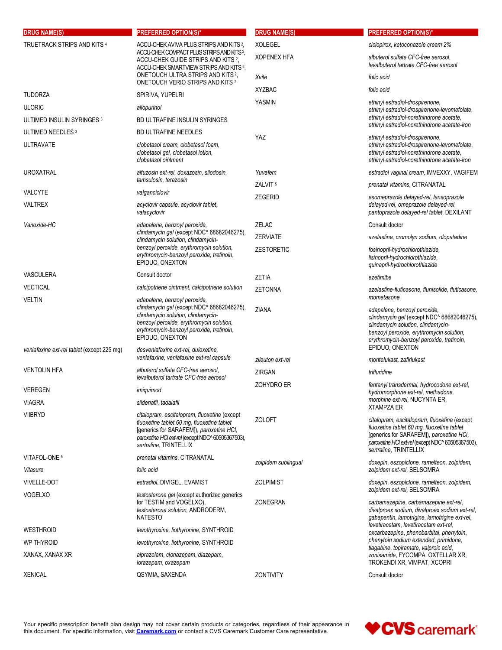| <b>DRUG NAME(S)</b>                        | <b>PREFERRED OPTION(S)*</b>                                                                                                                                                                                          | <b>DRUG NAME(S)</b> | <b>PREFERRED OPTION(S)*</b>                                                                                                                                                                                                                |
|--------------------------------------------|----------------------------------------------------------------------------------------------------------------------------------------------------------------------------------------------------------------------|---------------------|--------------------------------------------------------------------------------------------------------------------------------------------------------------------------------------------------------------------------------------------|
| TRUETRACK STRIPS AND KITS 4                | ACCU-CHEK AVIVA PLUS STRIPS AND KITS 2.<br>ACCU-CHEK COMPACT PLUS STRIPS AND KITS?,                                                                                                                                  | <b>XOLEGEL</b>      | ciclopirox, ketoconazole cream 2%                                                                                                                                                                                                          |
|                                            | ACCU-CHEK GUIDE STRIPS AND KITS 2,<br>ACCU-CHEK SMARTVIEW STRIPS AND KITS 2.                                                                                                                                         | <b>XOPENEX HFA</b>  | albuterol sulfate CFC-free aerosol.<br>levalbuterol tartrate CFC-free aerosol                                                                                                                                                              |
|                                            | ONETOUCH ULTRA STRIPS AND KITS <sup>2</sup> ,                                                                                                                                                                        | Xvite               | folic acid                                                                                                                                                                                                                                 |
|                                            | ONETOUCH VERIO STRIPS AND KITS <sup>2</sup>                                                                                                                                                                          | <b>XYZBAC</b>       | folic acid                                                                                                                                                                                                                                 |
| TUDORZA                                    | SPIRIVA, YUPELRI                                                                                                                                                                                                     | YASMIN              | ethinyl estradiol-drospirenone,                                                                                                                                                                                                            |
| <b>ULORIC</b>                              | allopurinol                                                                                                                                                                                                          |                     | ethinyl estradiol-drospirenone-levomefolate,                                                                                                                                                                                               |
| ULTIMED INSULIN SYRINGES 3                 | BD ULTRAFINE INSULIN SYRINGES                                                                                                                                                                                        |                     | ethinyl estradiol-norethindrone acetate,<br>ethinyl estradiol-norethindrone acetate-iron                                                                                                                                                   |
| ULTIMED NEEDLES <sup>3</sup>               | <b>BD ULTRAFINE NEEDLES</b>                                                                                                                                                                                          | <b>YAZ</b>          | ethinyl estradiol-drospirenone,                                                                                                                                                                                                            |
| <b>ULTRAVATE</b>                           | clobetasol cream, clobetasol foam,<br>clobetasol gel, clobetasol lotion,<br>clobetasol ointment                                                                                                                      |                     | ethinyl estradiol-drospirenone-levomefolate,<br>ethinyl estradiol-norethindrone acetate,<br>ethinyl estradiol-norethindrone acetate-iron                                                                                                   |
| <b>UROXATRAL</b>                           | alfuzosin ext-rel, doxazosin, silodosin,                                                                                                                                                                             | Yuvafem             | estradiol vaginal cream, IMVEXXY, VAGIFEM                                                                                                                                                                                                  |
|                                            | tamsulosin, terazosin                                                                                                                                                                                                | ZALVIT <sup>5</sup> | prenatal vitamins, CITRANATAL                                                                                                                                                                                                              |
| VALCYTE                                    | valganciclovir                                                                                                                                                                                                       | <b>ZEGERID</b>      | esomeprazole delayed-rel, lansoprazole                                                                                                                                                                                                     |
| VALTREX                                    | acyclovir capsule, acyclovir tablet,<br>valacyclovir                                                                                                                                                                 |                     | delayed-rel, omeprazole delayed-rel,<br>pantoprazole delayed-rel tablet, DEXILANT                                                                                                                                                          |
| Vanoxide-HC                                | adapalene, benzoyl peroxide,                                                                                                                                                                                         | <b>ZELAC</b>        | Consult doctor                                                                                                                                                                                                                             |
|                                            | clindamycin gel (except NDC^ 68682046275),<br>clindamycin solution, clindamycin-                                                                                                                                     | <b>ZERVIATE</b>     | azelastine, cromolyn sodium, olopatadine                                                                                                                                                                                                   |
|                                            | benzoyl peroxide, erythromycin solution,<br>erythromycin-benzoyl peroxide, tretinoin,<br>EPIDUO. ONEXTON                                                                                                             | <b>ZESTORETIC</b>   | fosinopril-hydrochlorothiazide,<br>lisinopril-hydrochlorothiazide,<br>quinapril-hydrochlorothiazide                                                                                                                                        |
| VASCULERA                                  | Consult doctor                                                                                                                                                                                                       | <b>ZETIA</b>        | ezetimibe                                                                                                                                                                                                                                  |
| VECTICAL                                   | calcipotriene ointment, calcipotriene solution                                                                                                                                                                       | <b>ZETONNA</b>      | azelastine-fluticasone, flunisolide, fluticasone,                                                                                                                                                                                          |
| VELTIN                                     | adapalene, benzoyl peroxide,                                                                                                                                                                                         |                     | mometasone                                                                                                                                                                                                                                 |
|                                            | clindamycin gel (except NDC^ 68682046275),<br>clindamycin solution, clindamycin-<br>benzoyl peroxide, erythromycin solution,<br>erythromycin-benzoyl peroxide, tretinoin,<br>EPIDUO, ONEXTON                         | <b>ZIANA</b>        | adapalene, benzoyl peroxide,<br>clindamycin gel (except NDC^ 68682046275),<br>clindamycin solution, clindamycin-<br>benzoyl peroxide, erythromycin solution,<br>erythromycin-benzoyl peroxide, tretinoin,<br>EPIDUO, ONEXTON               |
| venlafaxine ext-rel tablet (except 225 mg) | desvenlafaxine ext-rel, duloxetine,<br>venlafaxine, venlafaxine ext-rel capsule                                                                                                                                      | zileuton ext-rel    | montelukast, zafirlukast                                                                                                                                                                                                                   |
| <b>VENTOLIN HFA</b>                        | albuterol sulfate CFC-free aerosol,<br>levalbuterol tartrate CFC-free aerosol                                                                                                                                        | ZIRGAN              | trifluridine                                                                                                                                                                                                                               |
| VEREGEN                                    | imiquimod                                                                                                                                                                                                            | ZOHYDRO ER          | fentanyl transdermal, hydrocodone ext-rel,                                                                                                                                                                                                 |
| VIAGRA                                     | sildenafil, tadalafil                                                                                                                                                                                                |                     | hydromorphone ext-rel, methadone,<br>morphine ext-rel, NUCYNTA ER,                                                                                                                                                                         |
| <b>VIIBRYD</b>                             | citalopram, escitalopram, fluoxetine (except<br>fluoxetine tablet 60 mg, fluoxetine tablet<br>[generics for SARAFEM]), paroxetine HCI,<br>paroxetine HCl ext-rel (except NDC^60505367503),<br>sertraline, TRINTELLIX | <b>ZOLOFT</b>       | <b>XTAMPZA ER</b><br>citalopram, escitalopram, fluoxetine (except<br>fluoxetine tablet 60 mg, fluoxetine tablet<br>[generics for SARAFEM]), paroxetine HCI,<br>paroxetine HCl ext-rel (except NDC^ 60505367503),<br>sertraline, TRINTELLIX |
| VITAFOL-ONE 5                              | prenatal vitamins, CITRANATAL                                                                                                                                                                                        | zolpidem sublingual | doxepin, eszopiclone, ramelteon, zolpidem,                                                                                                                                                                                                 |
| Vitasure                                   | folic acid                                                                                                                                                                                                           |                     | zolpidem ext-rel, BELSOMRA                                                                                                                                                                                                                 |
| <b>VIVELLE-DOT</b>                         | estradiol, DIVIGEL, EVAMIST                                                                                                                                                                                          | <b>ZOLPIMIST</b>    | doxepin, eszopiclone, ramelteon, zolpidem,<br>zolpidem ext-rel, BELSOMRA                                                                                                                                                                   |
| <b>VOGELXO</b>                             | testosterone gel (except authorized generics<br>for TESTIM and VOGELXO),<br>testosterone solution, ANDRODERM,<br><b>NATESTO</b>                                                                                      | ZONEGRAN            | carbamazepine, carbamazepine ext-rel,<br>divalproex sodium, divalproex sodium ext-rel,<br>gabapentin, lamotrigine, lamotrigine ext-rel,                                                                                                    |
| <b>WESTHROID</b>                           | levothyroxine, liothyronine, SYNTHROID                                                                                                                                                                               |                     | levetiracetam, levetiracetam ext-rel,<br>oxcarbazepine, phenobarbital, phenytoin,                                                                                                                                                          |
| WP THYROID                                 | levothyroxine, liothyronine, SYNTHROID                                                                                                                                                                               |                     | phenytoin sodium extended, primidone,                                                                                                                                                                                                      |
| XANAX, XANAX XR                            | alprazolam, clonazepam, diazepam,<br>lorazepam, oxazepam                                                                                                                                                             |                     | tiagabine, topiramate, valproic acid,<br>zonisamide, FYCOMPA, OXTELLAR XR,<br>TROKENDI XR, VIMPAT, XCOPRI                                                                                                                                  |
| XENICAL                                    | QSYMIA, SAXENDA                                                                                                                                                                                                      | ZONTIVITY           | Consult doctor                                                                                                                                                                                                                             |

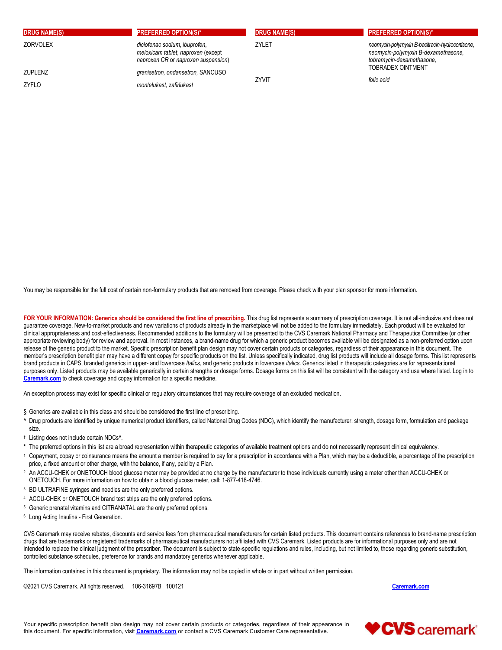| <b>DRUG NAME(S)</b> | <b>PREFERRED OPTION(S)*</b>                                                                                | <b>DRUG NAME(S)</b> | <b>PREFERRED OPTION(S)*</b>                                                                                         |
|---------------------|------------------------------------------------------------------------------------------------------------|---------------------|---------------------------------------------------------------------------------------------------------------------|
| <b>ZORVOLEX</b>     | diclofenac sodium, ibuprofen,<br>meloxicam tablet, naproxen (except<br>naproxen CR or naproxen suspension) | ZYLET               | neomycin-polymyxin B-bacitracin-hydrocortisone,<br>neomycin-polymyxin B-dexamethasone,<br>tobramycin-dexamethasone, |
| <b>ZUPLENZ</b>      | granisetron, ondansetron, SANCUSO                                                                          |                     | <b>TOBRADEX OINTMENT</b>                                                                                            |
| ZYFLO               | montelukast, zafirlukast                                                                                   | <b>ZYVIT</b>        | folic acid                                                                                                          |

You may be responsible for the full cost of certain non-formulary products that are removed from coverage. Please check with your plan sponsor for more information.

FOR YOUR INFORMATION: Generics should be considered the first line of prescribing. This drug list represents a summary of prescription coverage. It is not all-inclusive and does not guarantee coverage. New-to-market products and new variations of products already in the marketplace will not be added to the formulary immediately. Each product will be evaluated for clinical appropriateness and cost-effectiveness. Recommended additions to the formulary will be presented to the CVS Caremark National Pharmacy and Therapeutics Committee (or other appropriate reviewing body) for review and approval. In most instances, a brand-name drug for which a generic product becomes available will be designated as a non-preferred option upon release of the generic product to the market. Specific prescription benefit plan design may not cover certain products or categories, regardless of their appearance in this document. The member's prescription benefit plan may have a different copay for specific products on the list. Unless specifically indicated, drug list products will include all dosage forms. This list represents brand products in CAPS, branded generics in upper- and lowercase *Italics*, and generic products in lowercase *italics*. Generics listed in therapeutic categories are for representational purposes only. Listed products may be available generically in certain strengths or dosage forms. Dosage forms on this list will be consistent with the category and use where listed. Log in to Caremark.com to check coverage and copay information for a specific medicine.

An exception process may exist for specific clinical or regulatory circumstances that may require coverage of an excluded medication.

- 
- § Generics are available in this class and should be considered the first line of prescribing.<br>^ Drug products are identified by unique numerical product identifiers, called National Drug Codes (NDC), which identify the ma size.
- <sup>†</sup> Listing does not include certain NDCs<sup>^</sup>.
- 
- \* The preferred options in this list are a broad representation within therapeutic categories of available treatment options and do not necessarily represent clinical equivalency.<br>1 Copayment, copay or coinsurance means th price, a fixed amount or other charge, with the balance, if any, paid by a Plan.<br>An ACCU-CHEK or ONETOUCH blood glucose meter may be provided at no charge by the manufacturer to those individuals currently using a meter ot
- ONETOUCH. For more information on how to obtain a blood glucose meter, call: 1-877-418-4746.<br>
<sup>3</sup> BD ULTRAFINE syringes and needles are the only preferred options.<br>
<sup>4</sup> ACCU-CHEK or ONETOUCH brand test strips are the only
- 
- 
- 
- <sup>6</sup> Long Acting Insulins First Generation.

CVS Caremark may receive rebates, discounts and service fees from pharmaceutical manufacturers for certain listed products. This document contains references to brand-name prescription drugs that are trademarks or registered trademarks of pharmaceutical manufacturers not affiliated with CVS Caremark. Listed products are for informational purposes only and are not intended to replace the clinical judgment of the prescriber. The document is subject to state-specific regulations and rules, including, but not limited to, those regarding generic substitution, controlled substance schedules, preference for brands and mandatory generics whenever applicable.

The information contained in this document is proprietary. The information may not be copied in whole or in part without written permission.

©2021 CVS Caremark. All rights reserved. 106-31697B 100121 Caremark.com care experience of the caremark.com

Your specific prescription benefit plan design may not cover certain products or categories, regardless of their appearance in the control of the caregories, regardless of their appearance in the caregories of the caregor this document. For specific information, visit Caremark.com or contact a CVS Caremark Customer Care representative.